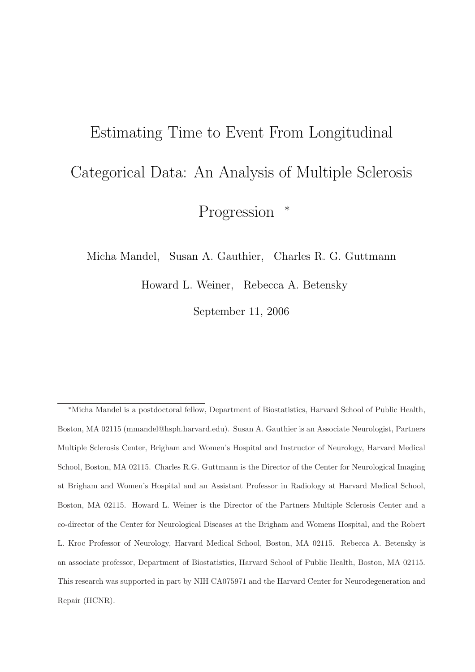# Estimating Time to Event From Longitudinal Categorical Data: An Analysis of Multiple Sclerosis Progression  $*$

Micha Mandel, Susan A. Gauthier, Charles R. G. Guttmann

Howard L. Weiner, Rebecca A. Betensky

September 11, 2006

<sup>∗</sup>Micha Mandel is a postdoctoral fellow, Department of Biostatistics, Harvard School of Public Health, Boston, MA 02115 (mmandel@hsph.harvard.edu). Susan A. Gauthier is an Associate Neurologist, Partners Multiple Sclerosis Center, Brigham and Women's Hospital and Instructor of Neurology, Harvard Medical School, Boston, MA 02115. Charles R.G. Guttmann is the Director of the Center for Neurological Imaging at Brigham and Women's Hospital and an Assistant Professor in Radiology at Harvard Medical School, Boston, MA 02115. Howard L. Weiner is the Director of the Partners Multiple Sclerosis Center and a co-director of the Center for Neurological Diseases at the Brigham and Womens Hospital, and the Robert L. Kroc Professor of Neurology, Harvard Medical School, Boston, MA 02115. Rebecca A. Betensky is an associate professor, Department of Biostatistics, Harvard School of Public Health, Boston, MA 02115. This research was supported in part by NIH CA075971 and the Harvard Center for Neurodegeneration and Repair (HCNR).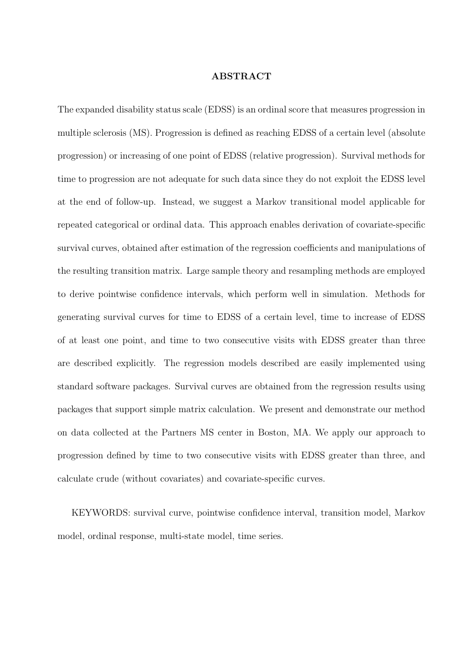#### ABSTRACT

The expanded disability status scale (EDSS) is an ordinal score that measures progression in multiple sclerosis (MS). Progression is defined as reaching EDSS of a certain level (absolute progression) or increasing of one point of EDSS (relative progression). Survival methods for time to progression are not adequate for such data since they do not exploit the EDSS level at the end of follow-up. Instead, we suggest a Markov transitional model applicable for repeated categorical or ordinal data. This approach enables derivation of covariate-specific survival curves, obtained after estimation of the regression coefficients and manipulations of the resulting transition matrix. Large sample theory and resampling methods are employed to derive pointwise confidence intervals, which perform well in simulation. Methods for generating survival curves for time to EDSS of a certain level, time to increase of EDSS of at least one point, and time to two consecutive visits with EDSS greater than three are described explicitly. The regression models described are easily implemented using standard software packages. Survival curves are obtained from the regression results using packages that support simple matrix calculation. We present and demonstrate our method on data collected at the Partners MS center in Boston, MA. We apply our approach to progression defined by time to two consecutive visits with EDSS greater than three, and calculate crude (without covariates) and covariate-specific curves.

KEYWORDS: survival curve, pointwise confidence interval, transition model, Markov model, ordinal response, multi-state model, time series.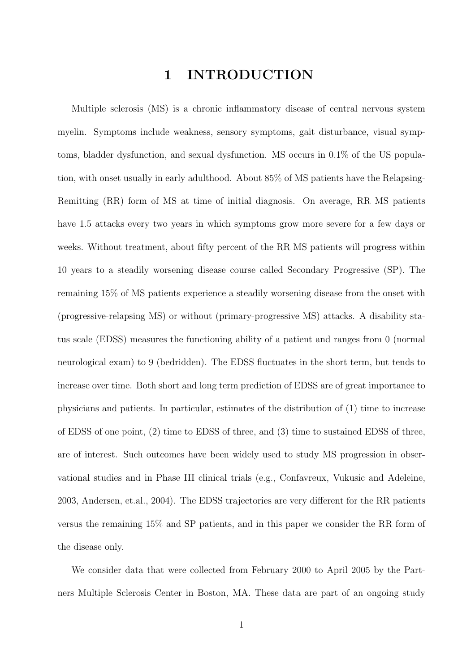# 1 INTRODUCTION

Multiple sclerosis (MS) is a chronic inflammatory disease of central nervous system myelin. Symptoms include weakness, sensory symptoms, gait disturbance, visual symptoms, bladder dysfunction, and sexual dysfunction. MS occurs in 0.1% of the US population, with onset usually in early adulthood. About 85% of MS patients have the Relapsing-Remitting (RR) form of MS at time of initial diagnosis. On average, RR MS patients have 1.5 attacks every two years in which symptoms grow more severe for a few days or weeks. Without treatment, about fifty percent of the RR MS patients will progress within 10 years to a steadily worsening disease course called Secondary Progressive (SP). The remaining 15% of MS patients experience a steadily worsening disease from the onset with (progressive-relapsing MS) or without (primary-progressive MS) attacks. A disability status scale (EDSS) measures the functioning ability of a patient and ranges from 0 (normal neurological exam) to 9 (bedridden). The EDSS fluctuates in the short term, but tends to increase over time. Both short and long term prediction of EDSS are of great importance to physicians and patients. In particular, estimates of the distribution of (1) time to increase of EDSS of one point, (2) time to EDSS of three, and (3) time to sustained EDSS of three, are of interest. Such outcomes have been widely used to study MS progression in observational studies and in Phase III clinical trials (e.g., Confavreux, Vukusic and Adeleine, 2003, Andersen, et.al., 2004). The EDSS trajectories are very different for the RR patients versus the remaining 15% and SP patients, and in this paper we consider the RR form of the disease only.

We consider data that were collected from February 2000 to April 2005 by the Partners Multiple Sclerosis Center in Boston, MA. These data are part of an ongoing study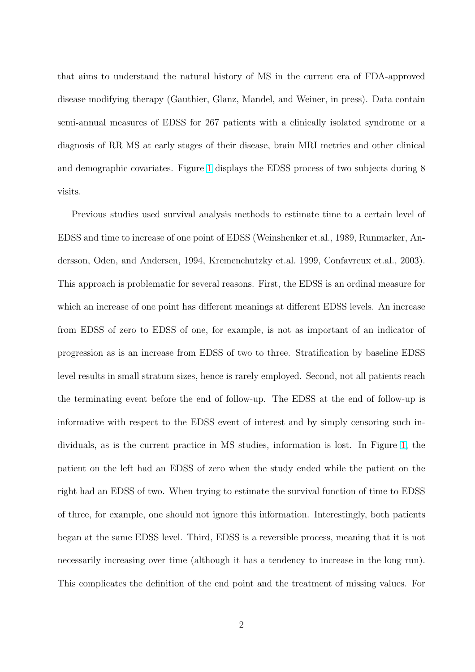that aims to understand the natural history of MS in the current era of FDA-approved disease modifying therapy (Gauthier, Glanz, Mandel, and Weiner, in press). Data contain semi-annual measures of EDSS for 267 patients with a clinically isolated syndrome or a diagnosis of RR MS at early stages of their disease, brain MRI metrics and other clinical and demographic covariates. Figure 1 displays the EDSS process of two subjects during 8 visits.

Previous studies used survival a[na](#page-40-0)lysis methods to estimate time to a certain level of EDSS and time to increase of one point of EDSS (Weinshenker et.al., 1989, Runmarker, Andersson, Oden, and Andersen, 1994, Kremenchutzky et.al. 1999, Confavreux et.al., 2003). This approach is problematic for several reasons. First, the EDSS is an ordinal measure for which an increase of one point has different meanings at different EDSS levels. An increase from EDSS of zero to EDSS of one, for example, is not as important of an indicator of progression as is an increase from EDSS of two to three. Stratification by baseline EDSS level results in small stratum sizes, hence is rarely employed. Second, not all patients reach the terminating event before the end of follow-up. The EDSS at the end of follow-up is informative with respect to the EDSS event of interest and by simply censoring such individuals, as is the current practice in MS studies, information is lost. In Figure 1, the patient on the left had an EDSS of zero when the study ended while the patient on the right had an EDSS of two. When trying to estimate the survival function of time to [E](#page-40-0)DSS of three, for example, one should not ignore this information. Interestingly, both patients began at the same EDSS level. Third, EDSS is a reversible process, meaning that it is not necessarily increasing over time (although it has a tendency to increase in the long run). This complicates the definition of the end point and the treatment of missing values. For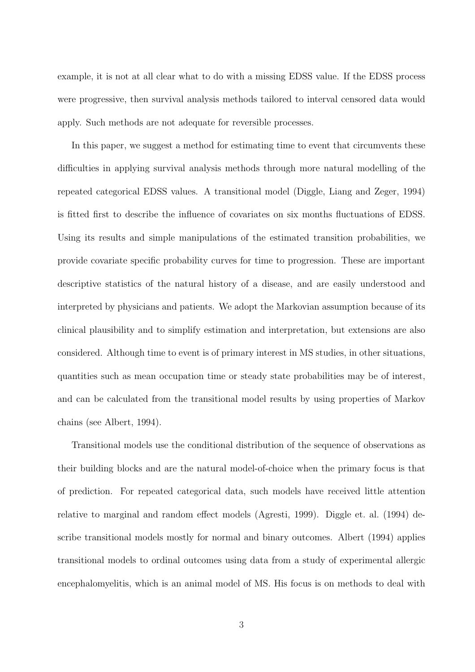example, it is not at all clear what to do with a missing EDSS value. If the EDSS process were progressive, then survival analysis methods tailored to interval censored data would apply. Such methods are not adequate for reversible processes.

In this paper, we suggest a method for estimating time to event that circumvents these difficulties in applying survival analysis methods through more natural modelling of the repeated categorical EDSS values. A transitional model (Diggle, Liang and Zeger, 1994) is fitted first to describe the influence of covariates on six months fluctuations of EDSS. Using its results and simple manipulations of the estimated transition probabilities, we provide covariate specific probability curves for time to progression. These are important descriptive statistics of the natural history of a disease, and are easily understood and interpreted by physicians and patients. We adopt the Markovian assumption because of its clinical plausibility and to simplify estimation and interpretation, but extensions are also considered. Although time to event is of primary interest in MS studies, in other situations, quantities such as mean occupation time or steady state probabilities may be of interest, and can be calculated from the transitional model results by using properties of Markov chains (see Albert, 1994).

Transitional models use the conditional distribution of the sequence of observations as their building blocks and are the natural model-of-choice when the primary focus is that of prediction. For repeated categorical data, such models have received little attention relative to marginal and random effect models (Agresti, 1999). Diggle et. al. (1994) describe transitional models mostly for normal and binary outcomes. Albert (1994) applies transitional models to ordinal outcomes using data from a study of experimental allergic encephalomyelitis, which is an animal model of MS. His focus is on methods to deal with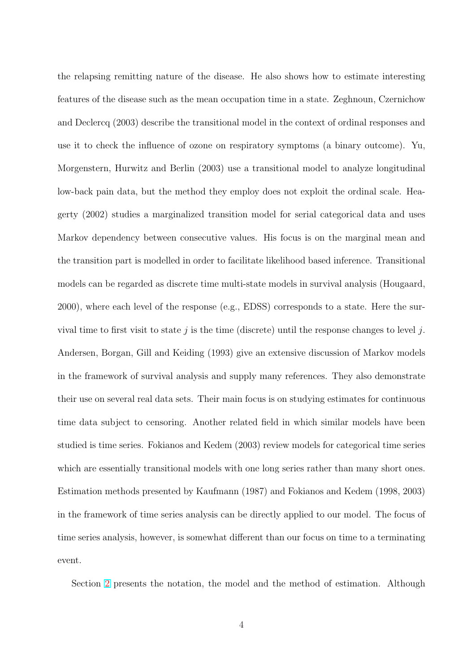the relapsing remitting nature of the disease. He also shows how to estimate interesting features of the disease such as the mean occupation time in a state. Zeghnoun, Czernichow and Declercq (2003) describe the transitional model in the context of ordinal responses and use it to check the influence of ozone on respiratory symptoms (a binary outcome). Yu, Morgenstern, Hurwitz and Berlin (2003) use a transitional model to analyze longitudinal low-back pain data, but the method they employ does not exploit the ordinal scale. Heagerty (2002) studies a marginalized transition model for serial categorical data and uses Markov dependency between consecutive values. His focus is on the marginal mean and the transition part is modelled in order to facilitate likelihood based inference. Transitional models can be regarded as discrete time multi-state models in survival analysis (Hougaard, 2000), where each level of the response (e.g., EDSS) corresponds to a state. Here the survival time to first visit to state j is the time (discrete) until the response changes to level j. Andersen, Borgan, Gill and Keiding (1993) give an extensive discussion of Markov models in the framework of survival analysis and supply many references. They also demonstrate their use on several real data sets. Their main focus is on studying estimates for continuous time data subject to censoring. Another related field in which similar models have been studied is time series. Fokianos and Kedem (2003) review models for categorical time series which are essentially transitional models with one long series rather than many short ones. Estimation methods presented by Kaufmann (1987) and Fokianos and Kedem (1998, 2003) in the framework of time series analysis can be directly applied to our model. The focus of time series analysis, however, is somewhat different than our focus on time to a terminating event.

Section 2 presents the notation, the model and the method of estimation. Although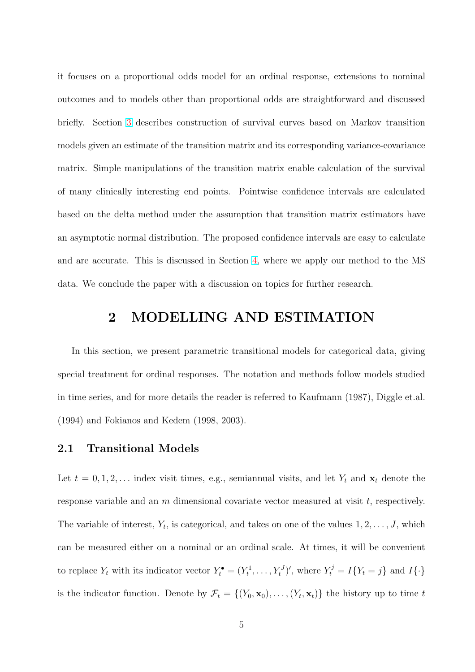it focuses on a proportional odds model for an ordinal response, extensions to nominal outcomes and to models other than proportional odds are straightforward and discussed briefly. Section 3 describes construction of survival curves based on Markov transition models given an estimate of the transition matrix and its corresponding variance-covariance matrix. Simple [ma](#page-12-0)nipulations of the transition matrix enable calculation of the survival of many clinically interesting end points. Pointwise confidence intervals are calculated based on the delta method under the assumption that transition matrix estimators have an asymptotic normal distribution. The proposed confidence intervals are easy to calculate and are accurate. This is discussed in Section 4, where we apply our method to the MS data. We conclude the paper with a discussion on topics for further research.

# 2 MODELLING AND ESTIMATION

In this section, we present parametric transitional models for categorical data, giving special treatment for ordinal responses. The notation and methods follow models studied in time series, and for more details the reader is referred to Kaufmann (1987), Diggle et.al. (1994) and Fokianos and Kedem (1998, 2003).

## 2.1 Transitional Models

Let  $t = 0, 1, 2, \ldots$  index visit times, e.g., semiannual visits, and let  $Y_t$  and  $\mathbf{x}_t$  denote the response variable and an  $m$  dimensional covariate vector measured at visit  $t$ , respectively. The variable of interest,  $Y_t$ , is categorical, and takes on one of the values  $1, 2, \ldots, J$ , which can be measured either on a nominal or an ordinal scale. At times, it will be convenient to replace  $Y_t$  with its indicator vector  $Y_t^{\bullet} = (Y_t^1, \ldots, Y_t^J)'$ , where  $Y_t^j = I\{Y_t = j\}$  and  $I\{\cdot\}$ is the indicator function. Denote by  $\mathcal{F}_t = \{(Y_0, \mathbf{x}_0), \ldots, (Y_t, \mathbf{x}_t)\}\)$  the history up to time t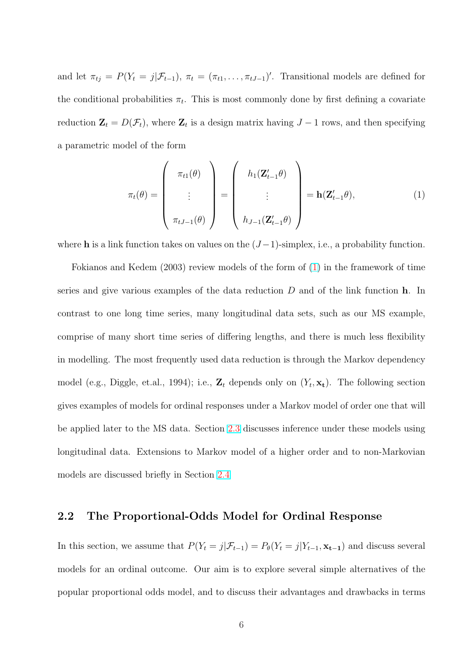<span id="page-7-0"></span>and let  $\pi_{tj} = P(Y_t = j | \mathcal{F}_{t-1}), \pi_t = (\pi_{t1}, \dots, \pi_{tJ-1})'$ . Transitional models are defined for the conditional probabilities  $\pi_t$ . This is most commonly done by first defining a covariate reduction  $\mathbf{Z}_t = D(\mathcal{F}_t)$ , where  $\mathbf{Z}_t$  is a design matrix having  $J - 1$  rows, and then specifying a parametric model of the form

$$
\pi_t(\theta) = \begin{pmatrix} \pi_{t1}(\theta) \\ \vdots \\ \pi_{tJ-1}(\theta) \end{pmatrix} = \begin{pmatrix} h_1(\mathbf{Z}_{t-1}'\theta) \\ \vdots \\ h_{J-1}(\mathbf{Z}_{t-1}'\theta) \end{pmatrix} = \mathbf{h}(\mathbf{Z}_{t-1}'\theta), \qquad (1)
$$

where h is a link function takes on values on the  $(J-1)$ -simplex, i.e., a probability function.

Fokianos and Kedem (2003) review models of the form of (1) in the framework of time series and give various examples of the data reduction  $D$  and of the link function  $\bf{h}$ . In contrast to one long time series, many longitudinal data sets, such as our MS example, comprise of many short time series of differing lengths, and there is much less flexibility in modelling. The most frequently used data reduction is through the Markov dependency model (e.g., Diggle, et.al., 1994); i.e.,  $\mathbf{Z}_t$  depends only on  $(Y_t, \mathbf{x_t})$ . The following section gives examples of models for ordinal responses under a Markov model of order one that will be applied later to the MS data. Section 2.3 discusses inference under these models using longitudinal data. Extensions to Markov model of a higher order and to non-Markovian models are discussed briefly in Section 2.[4](#page-10-0)

## 2.2 The Proportional-Odd[s M](#page-11-0)odel for Ordinal Response

In this section, we assume that  $P(Y_t = j | \mathcal{F}_{t-1}) = P_{\theta}(Y_t = j | Y_{t-1}, \mathbf{x_{t-1}})$  and discuss several models for an ordinal outcome. Our aim is to explore several simple alternatives of the popular proportional odds model, and to discuss their advantages and drawbacks in terms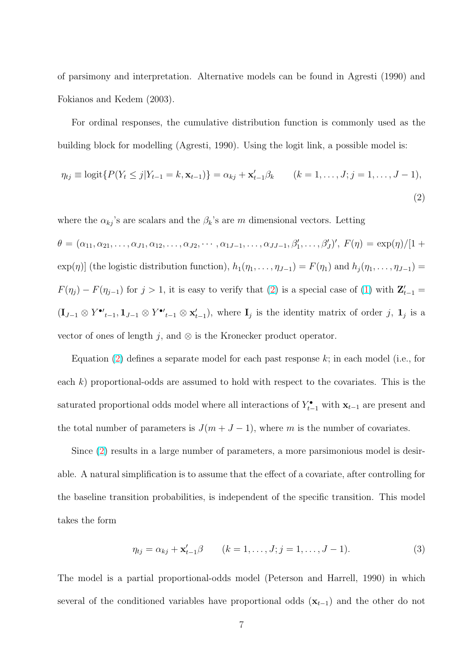<span id="page-8-0"></span>of parsimony and interpretation. Alternative models can be found in Agresti (1990) and Fokianos and Kedem (2003).

For ordinal responses, the cumulative distribution function is commonly used as the building block for modelling (Agresti, 1990). Using the logit link, a possible model is:

$$
\eta_{tj} \equiv \text{logit}\{P(Y_t \le j | Y_{t-1} = k, \mathbf{x}_{t-1})\} = \alpha_{kj} + \mathbf{x}'_{t-1} \beta_k \qquad (k = 1, ..., J; j = 1, ..., J-1),
$$
\n(2)

where the  $\alpha_{kj}$ 's are scalars and the  $\beta_k$ 's are m dimensional vectors. Letting

 $\theta = (\alpha_{11}, \alpha_{21}, \ldots, \alpha_{J1}, \alpha_{12}, \ldots, \alpha_{J2}, \cdots, \alpha_{1J-1}, \ldots, \alpha_{JJ-1}, \beta'_1, \ldots, \beta'_J)'$ ,  $F(\eta) = \exp(\eta)/[1 + \eta]$  $\exp(\eta)$  (the logistic distribution function),  $h_1(\eta_1, \ldots, \eta_{J-1}) = F(\eta_1)$  and  $h_j(\eta_1, \ldots, \eta_{J-1}) =$  $F(\eta_j) - F(\eta_{j-1})$  for  $j > 1$ , it is easy to verify that (2) is a special case of (1) with  $\mathbf{Z}_{t-1}' =$  $(\mathbf{I}_{J-1} \otimes Y^{\bullet'}_{t-1}, \mathbf{1}_{J-1} \otimes Y^{\bullet'}_{t-1} \otimes \mathbf{x}'_{t-1}),$  where  $\mathbf{I}_j$  is the identity matrix of order j,  $\mathbf{1}_j$  is a vector of ones of length j, and  $\otimes$  is the Kronecker product operator.

Equation  $(2)$  defines a separate model for each past response k; in each model (i.e., for each  $k$ ) proportional-odds are assumed to hold with respect to the covariates. This is the saturated proportional odds model where all interactions of  $Y_{t-1}^{\bullet}$  with  $\mathbf{x}_{t-1}$  are present and the total number of parameters is  $J(m + J - 1)$ , where m is the number of covariates.

Since (2) results in a large number of parameters, a more parsimonious model is desirable. A natural simplification is to assume that the effect of a covariate, after controlling for the baseline transition probabilities, is independent of the specific transition. This model takes the form

$$
\eta_{tj} = \alpha_{kj} + \mathbf{x}'_{t-1}\beta \qquad (k = 1, \dots, J; j = 1, \dots, J-1). \tag{3}
$$

The model is a partial proportional-odds model (Peterson and Harrell, 1990) in which several of the conditioned variables have proportional odds  $(\mathbf{x}_{t-1})$  and the other do not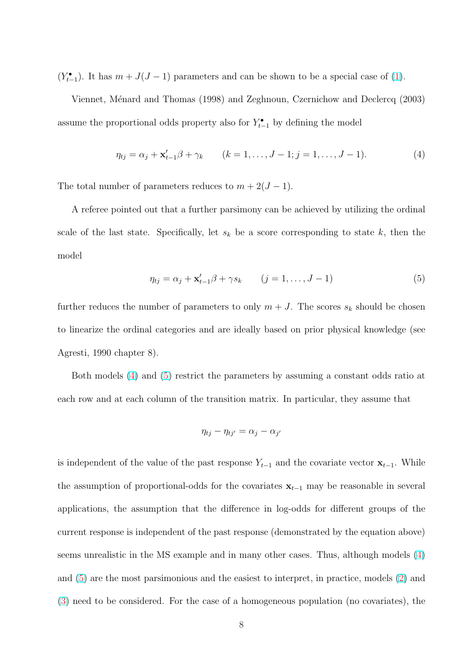<span id="page-9-0"></span> $(Y_{t-1}^{\bullet})$ . It has  $m + J(J-1)$  parameters and can be shown to be a special case of (1).

Viennet, Ménard and Thomas (1998) and Zeghnoun, Czernichow and Declercq (2003) assume the proportional odds property also for  $Y_{t-1}^{\bullet}$  by defining the model

$$
\eta_{tj} = \alpha_j + \mathbf{x}'_{t-1}\beta + \gamma_k \qquad (k = 1, \dots, J-1; j = 1, \dots, J-1). \tag{4}
$$

The total number of parameters reduces to  $m + 2(J - 1)$ .

A referee pointed out that a further parsimony can be achieved by utilizing the ordinal scale of the last state. Specifically, let  $s_k$  be a score corresponding to state k, then the model

$$
\eta_{tj} = \alpha_j + \mathbf{x}'_{t-1}\beta + \gamma s_k \qquad (j = 1, \dots, J-1)
$$
\n
$$
(5)
$$

further reduces the number of parameters to only  $m + J$ . The scores  $s_k$  should be chosen to linearize the ordinal categories and are ideally based on prior physical knowledge (see Agresti, 1990 chapter 8).

Both models (4) and (5) restrict the parameters by assuming a constant odds ratio at each row and at each column of the transition matrix. In particular, they assume that

$$
\eta_{tj} - \eta_{tj'} = \alpha_j - \alpha_{j'}
$$

is independent of the value of the past response  $Y_{t-1}$  and the covariate vector  $\mathbf{x}_{t-1}$ . While the assumption of proportional-odds for the covariates  $x_{t-1}$  may be reasonable in several applications, the assumption that the difference in log-odds for different groups of the current response is independent of the past response (demonstrated by the equation above) seems unrealistic in the MS example and in many other cases. Thus, although models (4) and (5) are the most parsimonious and the easiest to interpret, in practice, models (2) and (3) need to be considered. For the case of a homogeneous population (no covariates), the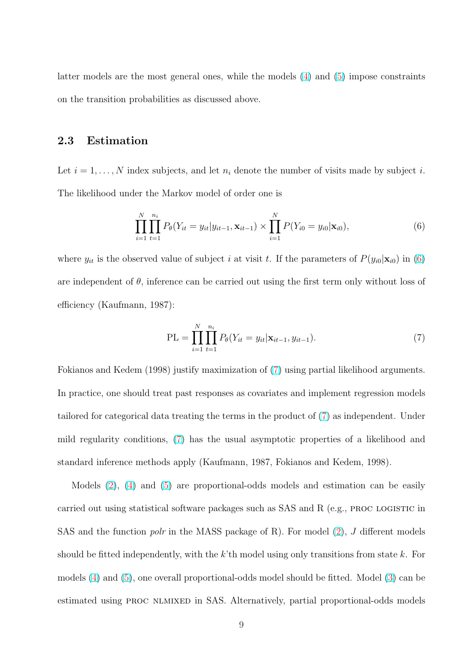<span id="page-10-0"></span>latter models are the most general ones, while the models (4) and (5) impose constraints on the transition probabilities as discussed above.

# 2.3 Estimation

Let  $i = 1, \ldots, N$  index subjects, and let  $n_i$  denote the number of visits made by subject i. The likelihood under the Markov model of order one is

$$
\prod_{i=1}^{N} \prod_{t=1}^{n_i} P_{\theta}(Y_{it} = y_{it} | y_{it-1}, \mathbf{x}_{it-1}) \times \prod_{i=1}^{N} P(Y_{i0} = y_{i0} | \mathbf{x}_{i0}), \tag{6}
$$

where  $y_{it}$  is the observed value of subject i at visit t. If the parameters of  $P(y_{i0}|\mathbf{x}_{i0})$  in (6) are independent of  $\theta$ , inference can be carried out using the first term only without loss of efficiency (Kaufmann, 1987):

$$
PL = \prod_{i=1}^{N} \prod_{t=1}^{n_i} P_{\theta}(Y_{it} = y_{it} | \mathbf{x}_{it-1}, y_{it-1}).
$$
\n(7)

Fokianos and Kedem (1998) justify maximization of (7) using partial likelihood arguments. In practice, one should treat past responses as covariates and implement regression models tailored for categorical data treating the terms in the product of (7) as independent. Under mild regularity conditions, (7) has the usual asymptotic properties of a likelihood and standard inference methods apply (Kaufmann, 1987, Fokianos and Kedem, 1998).

Models (2), (4) and (5) are proportional-odds models and estimation can be easily carried out using statistical software packages such as SAS and R (e.g., proc logistic in SAS and th[e f](#page-8-0)un[ct](#page-9-0)ion *pol[r](#page-9-0)* in the MASS package of R). For model  $(2)$ , J different models should be fitted independently, with the k'th model using only transitions from state k. For models (4) and (5), one overall proportional-odds model should be fi[tte](#page-8-0)d. Model (3) can be estimated using PROC NLMIXED in SAS. Alternatively, partial proportional-odds models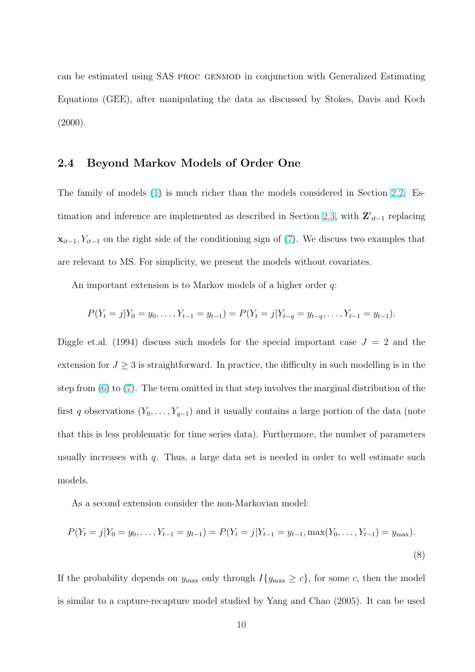<span id="page-11-0"></span>can be estimated using SAS proc genmod in conjunction with Generalized Estimating Equations (GEE), after manipulating the data as discussed by Stokes, Davis and Koch  $(2000).$ 

# 2.4 Beyond Markov Models of Order One

The family of models (1) is much richer than the models considered in Section 2.2. Estimation and inference are implemented as described in Section 2.3, with  $\mathbf{Z'}_{it-1}$  replacing  $\mathbf{x}_{it-1}, Y_{it-1}$  on the right [si](#page-7-0)de of the conditioning sign of (7). We discuss two exam[ples](#page-7-0) that are relevant to MS. For simplicity, we present the models witho[ut co](#page-10-0)variates.

An important extension is to Markov models of a hi[gh](#page-10-0)er order q:

$$
P(Y_t = j | Y_0 = y_0, \dots, Y_{t-1} = y_{t-1}) = P(Y_t = j | Y_{t-q} = y_{t-q}, \dots, Y_{t-1} = y_{t-1}).
$$

Diggle et.al. (1994) discuss such models for the special important case  $J = 2$  and the extension for  $J \geq 3$  is straightforward. In practice, the difficulty in such modelling is in the step from  $(6)$  to  $(7)$ . The term omitted in that step involves the marginal distribution of the first q observations  $(Y_0, \ldots, Y_{q-1})$  and it usually contains a large portion of the data (note that this i[s l](#page-10-0)ess [pro](#page-10-0)blematic for time series data). Furthermore, the number of parameters usually increases with  $q$ . Thus, a large data set is needed in order to well estimate such models.

As a second extension consider the non-Markovian model:

$$
P(Y_t = j | Y_0 = y_0, \dots, Y_{t-1} = y_{t-1}) = P(Y_t = j | Y_{t-1} = y_{t-1}, \max(Y_0, \dots, Y_{t-1}) = y_{\max}).
$$
\n(8)

If the probability depends on  $y_{\text{max}}$  only through  $I\{y_{\text{max}} \ge c\}$ , for some c, then the model is similar to a capture-recapture model studied by Yang and Chao (2005). It can be used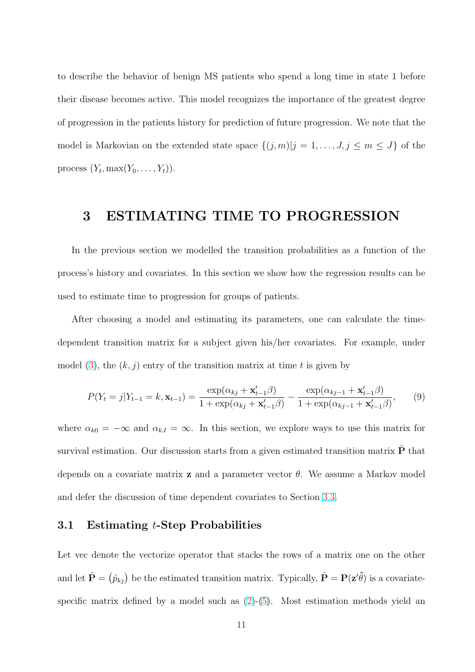<span id="page-12-0"></span>to describe the behavior of benign MS patients who spend a long time in state 1 before their disease becomes active. This model recognizes the importance of the greatest degree of progression in the patients history for prediction of future progression. We note that the model is Markovian on the extended state space  $\{(j, m)|j = 1, \ldots, J, j \leq m \leq J\}$  of the process  $(Y_t, \max(Y_0, \ldots, Y_t)).$ 

# 3 ESTIMATING TIME TO PROGRESSION

In the previous section we modelled the transition probabilities as a function of the process's history and covariates. In this section we show how the regression results can be used to estimate time to progression for groups of patients.

After choosing a model and estimating its parameters, one can calculate the timedependent transition matrix for a subject given his/her covariates. For example, under model (3), the  $(k, j)$  entry of the transition matrix at time t is given by

$$
P(Y_t = j | Y_{t-1} = k, \mathbf{x}_{t-1}) = \frac{\exp(\alpha_{kj} + \mathbf{x}'_{t-1}\beta)}{1 + \exp(\alpha_{kj} + \mathbf{x}'_{t-1}\beta)} - \frac{\exp(\alpha_{kj-1} + \mathbf{x}'_{t-1}\beta)}{1 + \exp(\alpha_{kj-1} + \mathbf{x}'_{t-1}\beta)},
$$
(9)

where  $\alpha_{k0} = -\infty$  and  $\alpha_{kJ} = \infty$ . In this section, we explore ways to use this matrix for survival estimation. Our discussion starts from a given estimated transition matrix  $\hat{\mathbf{P}}$  that depends on a covariate matrix **z** and a parameter vector  $\theta$ . We assume a Markov model and defer the discussion of time dependent covariates to Section 3.3.

## 3.1 Estimating t-Step Probabilities

Let vec denote the vectorize operator that stacks the rows of a matrix one on the other and let  $\hat{\mathbf{P}} = (\hat{p}_{kj})$  be the estimated transition matrix. Typically,  $\hat{\mathbf{P}} = \mathbf{P}(\mathbf{z}'\hat{\theta})$  is a covariatespecific matrix defined by a model such as  $(2)-(5)$ . Most estimation methods yield an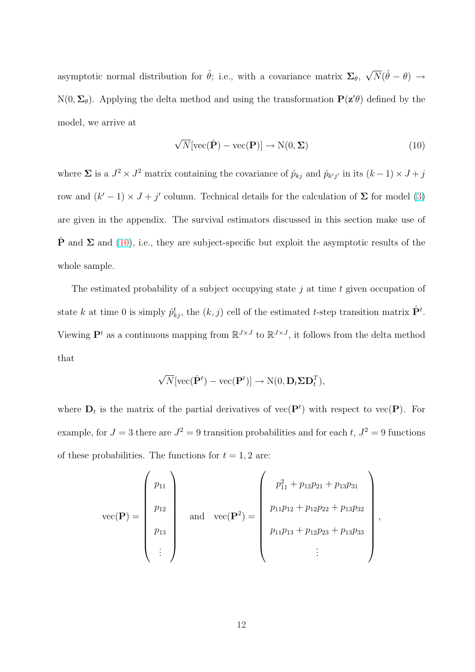<span id="page-13-0"></span>asymptotic normal distribution for  $\hat{\theta}$ ; i.e., with a covariance matrix  $\Sigma_{\theta}$ ,  $\sqrt$  $\overline{N}(\hat{\theta} - \theta) \rightarrow$  $N(0, \Sigma_{\theta})$ . Applying the delta method and using the transformation  $P(z|\theta)$  defined by the model, we arrive at

$$
\sqrt{N}[\text{vec}(\hat{\mathbf{P}}) - \text{vec}(\mathbf{P})] \to \text{N}(0, \Sigma)
$$
\n(10)

where  $\Sigma$  is a  $J^2 \times J^2$  matrix containing the covariance of  $\hat{p}_{kj}$  and  $\hat{p}_{k'j'}$  in its  $(k-1) \times J + j$ row and  $(k'-1) \times J + j'$  column. Technical details for the calculation of  $\Sigma$  for model (3) are given in the appendix. The survival estimators discussed in this section make use of  $\hat{\mathbf{P}}$  and  $\Sigma$  and (10), i.e., t[he](#page-8-0)y are subject-specific but exploit the asymptotic results of the whole sample.

The estimated probability of a subject occupying state  $j$  at time  $t$  given occupation of state k at time 0 is simply  $\hat{p}_{kj}^t$ , the  $(k, j)$  cell of the estimated t-step transition matrix  $\hat{P}^t$ . Viewing  $\mathbf{P}^t$  as a continuous mapping from  $\mathbb{R}^{J \times J}$  to  $\mathbb{R}^{J \times J}$ , it follows from the delta method that

$$
\sqrt{N}[\text{vec}(\hat{\mathbf{P}}^t) - \text{vec}(\mathbf{P}^t)] \rightarrow \text{N}(0, \mathbf{D}_t \Sigma \mathbf{D}_t^T),
$$

where  $D_t$  is the matrix of the partial derivatives of vec( $P^t$ ) with respect to vec( $P$ ). For example, for  $J = 3$  there are  $J^2 = 9$  transition probabilities and for each t,  $J^2 = 9$  functions of these probabilities. The functions for  $t = 1, 2$  are:

vec(**P**) = 
$$
\begin{pmatrix} p_{11} \\ p_{12} \\ p_{13} \\ \vdots \end{pmatrix} \text{ and } \text{vec}(\mathbf{P}^2) = \begin{pmatrix} p_{11}^2 + p_{12}p_{21} + p_{13}p_{31} \\ p_{11}p_{12} + p_{12}p_{22} + p_{13}p_{32} \\ p_{11}p_{13} + p_{12}p_{23} + p_{13}p_{33} \\ \vdots \end{pmatrix},
$$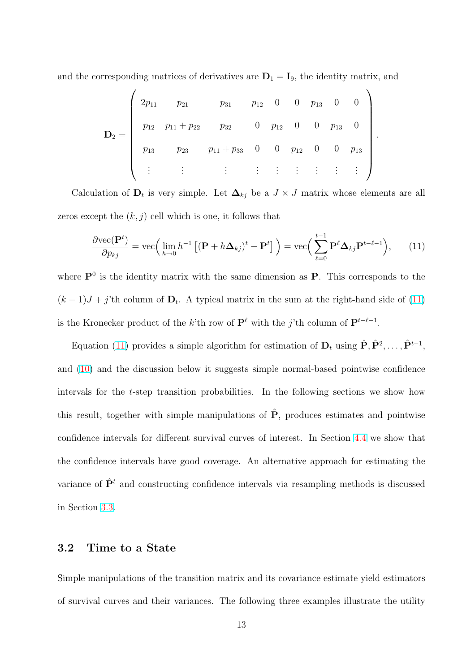<span id="page-14-0"></span>and the corresponding matrices of derivatives are  $D_1 = I_9$ , the identity matrix, and

$$
\mathbf{D}_2 = \begin{pmatrix} 2p_{11} & p_{21} & p_{31} & p_{12} & 0 & 0 & p_{13} & 0 & 0 \\ p_{12} & p_{11} + p_{22} & p_{32} & 0 & p_{12} & 0 & 0 & p_{13} & 0 \\ p_{13} & p_{23} & p_{11} + p_{33} & 0 & 0 & p_{12} & 0 & 0 & p_{13} \\ \vdots & \vdots & \vdots & \vdots & \vdots & \vdots & \vdots & \vdots & \vdots \end{pmatrix}
$$

.

Calculation of  $D_t$  is very simple. Let  $\Delta_{kj}$  be a  $J \times J$  matrix whose elements are all zeros except the  $(k, j)$  cell which is one, it follows that

$$
\frac{\partial \text{vec}(\mathbf{P}^t)}{\partial p_{kj}} = \text{vec}\Big(\lim_{h \to 0} h^{-1} \left[ (\mathbf{P} + h\mathbf{\Delta}_{kj})^t - \mathbf{P}^t \right] \Big) = \text{vec}\Big(\sum_{\ell=0}^{t-1} \mathbf{P}^{\ell} \mathbf{\Delta}_{kj} \mathbf{P}^{t-\ell-1} \Big), \qquad (11)
$$

where  $\mathbf{P}^0$  is the identity matrix with the same dimension as  $\mathbf{P}$ . This corresponds to the  $(k-1)J + j$ 'th column of  $D_t$ . A typical matrix in the sum at the right-hand side of  $(11)$ is the Kronecker product of the k'th row of  $\mathbf{P}^{\ell}$  with the j'th column of  $\mathbf{P}^{t-\ell-1}$ .

Equation (11) provides a simple algorithm for estimation of  $\mathbf{D}_t$  using  $\hat{\mathbf{P}}, \hat{\mathbf{P}}^2, \ldots, \hat{\mathbf{P}}^{t-1}$ , and (10) and the discussion below it suggests simple normal-based pointwise confidence intervals for the t-step transition probabilities. In the following sections we show how this [resu](#page-13-0)lt, together with simple manipulations of  $\hat{P}$ , produces estimates and pointwise confidence intervals for different survival curves of interest. In Section 4.4 we show that the confidence intervals have good coverage. An alternative approach for estimating the variance of  $\hat{P}^t$  and constructing confidence intervals via resampling me[thod](#page-25-0)s is discussed in Section 3.3.

## 3.2 Ti[me](#page-17-0) to a State

Simple manipulations of the transition matrix and its covariance estimate yield estimators of survival curves and their variances. The following three examples illustrate the utility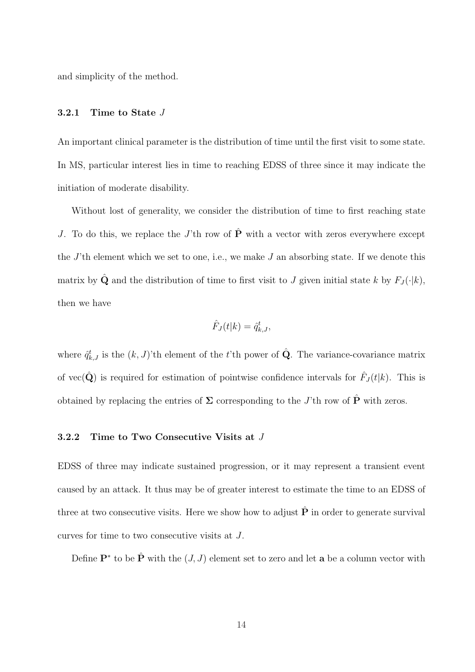<span id="page-15-0"></span>and simplicity of the method.

#### 3.2.1 Time to State J

An important clinical parameter is the distribution of time until the first visit to some state. In MS, particular interest lies in time to reaching EDSS of three since it may indicate the initiation of moderate disability.

Without lost of generality, we consider the distribution of time to first reaching state J. To do this, we replace the J'th row of  $\hat{\mathbf{P}}$  with a vector with zeros everywhere except the  $J$ 'th element which we set to one, i.e., we make  $J$  an absorbing state. If we denote this matrix by  $\hat{\mathbf{Q}}$  and the distribution of time to first visit to J given initial state k by  $F_J(\cdot|k)$ , then we have

$$
\hat{F}_J(t|k) = \hat{q}_{k,J}^t,
$$

where  $\hat{q}_{k,J}^{t}$  is the  $(k,J)$ 'th element of the t'th power of  $\hat{Q}$ . The variance-covariance matrix of vec( $\hat{\mathbf{Q}}$ ) is required for estimation of pointwise confidence intervals for  $\hat{F}_J(t|k)$ . This is obtained by replacing the entries of  $\Sigma$  corresponding to the J'th row of  $\hat{P}$  with zeros.

#### 3.2.2 Time to Two Consecutive Visits at J

EDSS of three may indicate sustained progression, or it may represent a transient event caused by an attack. It thus may be of greater interest to estimate the time to an EDSS of three at two consecutive visits. Here we show how to adjust  $\hat{P}$  in order to generate survival curves for time to two consecutive visits at J.

Define  $\mathbf{P}^*$  to be  $\hat{\mathbf{P}}$  with the  $(J, J)$  element set to zero and let **a** be a column vector with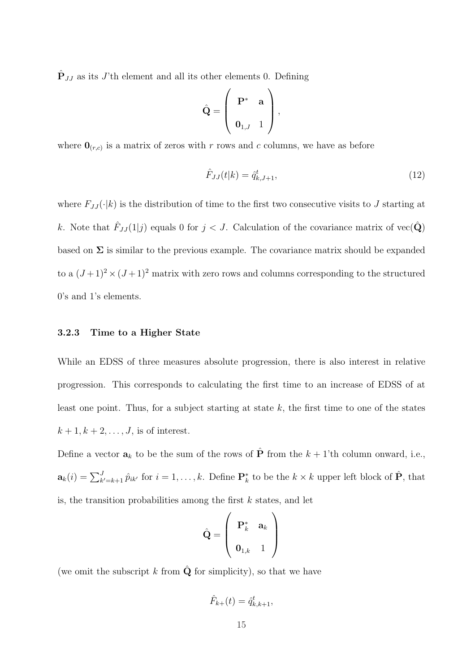$\hat{\mathbf{P}}_{JJ}$  as its J'th element and all its other elements 0. Defining

$$
\hat{\mathbf{Q}} = \left( \begin{array}{cc} \mathbf{P}^* & \mathbf{a} \\ \mathbf{0}_{1,J} & 1 \end{array} \right),
$$

where  $\mathbf{0}_{(r,c)}$  is a matrix of zeros with r rows and c columns, we have as before

$$
\hat{F}_{JJ}(t|k) = \hat{q}_{k,J+1}^t,\tag{12}
$$

where  $F_{JJ}(\cdot|k)$  is the distribution of time to the first two consecutive visits to J starting at k. Note that  $\hat{F}_{JJ}(1|j)$  equals 0 for  $j < J$ . Calculation of the covariance matrix of vec $(\hat{\mathbf{Q}})$ based on  $\Sigma$  is similar to the previous example. The covariance matrix should be expanded to a  $(J+1)^2 \times (J+1)^2$  matrix with zero rows and columns corresponding to the structured 0's and 1's elements.

#### 3.2.3 Time to a Higher State

While an EDSS of three measures absolute progression, there is also interest in relative progression. This corresponds to calculating the first time to an increase of EDSS of at least one point. Thus, for a subject starting at state  $k$ , the first time to one of the states  $k+1, k+2, \ldots, J$ , is of interest.

Define a vector  $a_k$  to be the sum of the rows of  $\hat{P}$  from the  $k + 1$ 'th column onward, i.e.,  $\mathbf{a}_k(i) = \sum_{k'=k+1}^J \hat{p}_{ik'}$  for  $i = 1, \ldots, k$ . Define  $\mathbf{P}_k^*$  to be the  $k \times k$  upper left block of  $\hat{\mathbf{P}}$ , that is, the transition probabilities among the first  $k$  states, and let

$$
\hat{\mathbf{Q}} = \left( \begin{array}{cc} \mathbf{P}_k^* & \mathbf{a}_k \\ \mathbf{0}_{1,k} & 1 \end{array} \right)
$$

(we omit the subscript k from  $\hat{Q}$  for simplicity), so that we have

$$
\hat{F}_{k+}(t) = \hat{q}_{k,k+1}^t,
$$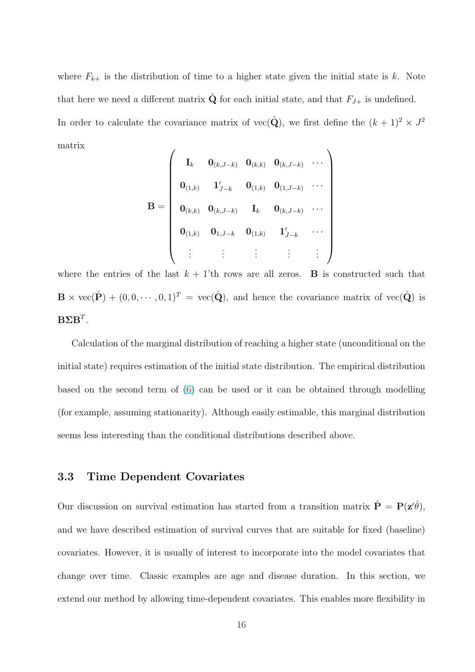<span id="page-17-0"></span>where  $F_{k+}$  is the distribution of time to a higher state given the initial state is k. Note that here we need a different matrix  $\hat{\mathbf{Q}}$  for each initial state, and that  $F_{J+}$  is undefined. In order to calculate the covariance matrix of vec( $\hat{Q}$ ), we first define the  $(k+1)^2 \times J^2$ matrix  $\overline{1}$  $\mathbf{r}$ 

$$
\mathbf{B} = \left(\begin{array}{cccccc} \mathbf{I}_k & \mathbf{0}_{(k,J-k)} & \mathbf{0}_{(k,k)} & \mathbf{0}_{(k,J-k)} & \cdots \\ \mathbf{0}_{(1,k)} & \mathbf{1}_{J-k}' & \mathbf{0}_{(1,k)} & \mathbf{0}_{(1,J-k)} & \cdots \\ \mathbf{0}_{(k,k)} & \mathbf{0}_{(k,J-k)} & \mathbf{I}_k & \mathbf{0}_{(k,J-k)} & \cdots \\ \mathbf{0}_{(1,k)} & \mathbf{0}_{1,J-k} & \mathbf{0}_{(1,k)} & \mathbf{1}_{J-k}' & \cdots \\ \vdots & \vdots & \vdots & \vdots & \vdots \end{array}\right)
$$

where the entries of the last  $k + 1$ 'th rows are all zeros. **B** is constructed such that  $\mathbf{B} \times \text{vec}(\hat{\mathbf{P}}) + (0, 0, \cdots, 0, 1)^T = \text{vec}(\hat{\mathbf{Q}})$ , and hence the covariance matrix of  $\text{vec}(\hat{\mathbf{Q}})$  is  $\mathbf{B} \mathbf{\Sigma} \mathbf{B}^T$ .

Calculation of the marginal distribution of reaching a higher state (unconditional on the initial state) requires estimation of the initial state distribution. The empirical distribution based on the second term of  $(6)$  can be used or it can be obtained through modelling (for example, assuming stationarity). Although easily estimable, this marginal distribution seems less interesting than the [co](#page-10-0)nditional distributions described above.

# 3.3 Time Dependent Covariates

Our discussion on survival estimation has started from a transition matrix  $\hat{\mathbf{P}} = \mathbf{P}(\mathbf{z}'\hat{\theta})$ , and we have described estimation of survival curves that are suitable for fixed (baseline) covariates. However, it is usually of interest to incorporate into the model covariates that change over time. Classic examples are age and disease duration. In this section, we extend our method by allowing time-dependent covariates. This enables more flexibility in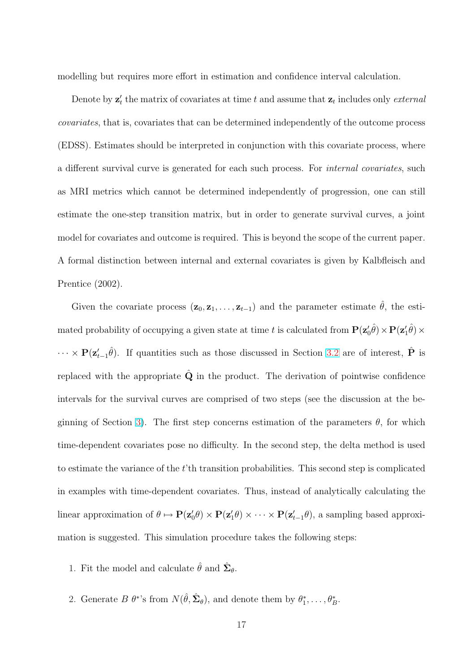modelling but requires more effort in estimation and confidence interval calculation.

Denote by  $z'_{t}$  the matrix of covariates at time t and assume that  $z_{t}$  includes only external covariates, that is, covariates that can be determined independently of the outcome process (EDSS). Estimates should be interpreted in conjunction with this covariate process, where a different survival curve is generated for each such process. For internal covariates, such as MRI metrics which cannot be determined independently of progression, one can still estimate the one-step transition matrix, but in order to generate survival curves, a joint model for covariates and outcome is required. This is beyond the scope of the current paper. A formal distinction between internal and external covariates is given by Kalbfleisch and Prentice (2002).

Given the covariate process  $(\mathbf{z}_0, \mathbf{z}_1, \dots, \mathbf{z}_{t-1})$  and the parameter estimate  $\hat{\theta}$ , the estimated probability of occupying a given state at time t is calculated from  $\mathbf{P}(\mathbf{z}'_0\hat{\theta})\times\mathbf{P}(\mathbf{z}'_1\hat{\theta})\times$  $\cdots \times P(z_{t-1}'\hat{\theta})$ . If quantities such as those discussed in Section 3.2 are of interest,  $\hat{P}$  is replaced with the appropriate  $\hat{Q}$  in the product. The derivation of pointwise confidence intervals for the survival curves are comprised of two steps (see [the](#page-14-0) discussion at the beginning of Section 3). The first step concerns estimation of the parameters  $\theta$ , for which time-dependent covariates pose no difficulty. In the second step, the delta method is used to estimate the var[ian](#page-12-0)ce of the t'th transition probabilities. This second step is complicated in examples with time-dependent covariates. Thus, instead of analytically calculating the linear approximation of  $\theta \mapsto \mathbf{P}(\mathbf{z}'_0\theta) \times \mathbf{P}(\mathbf{z}'_1\theta) \times \cdots \times \mathbf{P}(\mathbf{z}'_{t-1}\theta)$ , a sampling based approximation is suggested. This simulation procedure takes the following steps:

- 1. Fit the model and calculate  $\hat{\theta}$  and  $\hat{\Sigma}_{\theta}$ .
- 2. Generate  $B \theta^*$ 's from  $N(\hat{\theta}, \hat{\Sigma}_{\theta})$ , and denote them by  $\theta_1^*, \ldots, \theta_B^*$ .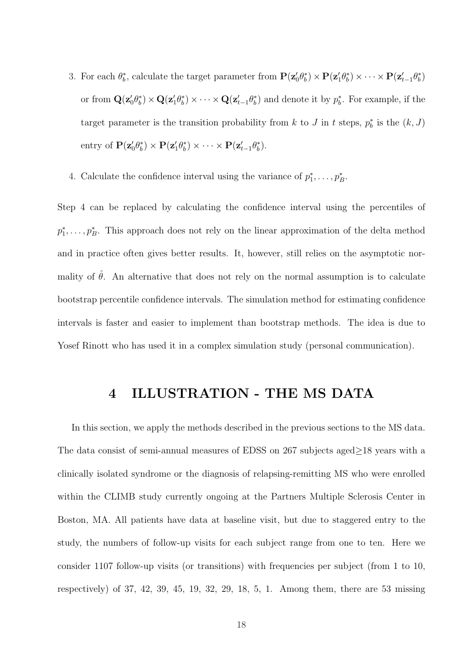- 3. For each  $\theta_b^*$ , calculate the target parameter from  $\mathbf{P}(\mathbf{z}'_0 \theta_b^*) \times \mathbf{P}(\mathbf{z}'_1 \theta_b^*) \times \cdots \times \mathbf{P}(\mathbf{z}'_{t-1} \theta_b^*)$ or from  $\mathbf{Q}(\mathbf{z}'_0\theta^*_b)\times\mathbf{Q}(\mathbf{z}'_1\theta^*_b)\times\cdots\times\mathbf{Q}(\mathbf{z}'_{t-1}\theta^*_b)$  and denote it by  $p^*_b$ . For example, if the target parameter is the transition probability from k to J in t steps,  $p_b^*$  is the  $(k, J)$ entry of  $\mathbf{P}(\mathbf{z}'_0 \theta^*_b) \times \mathbf{P}(\mathbf{z}'_1 \theta^*_b) \times \cdots \times \mathbf{P}(\mathbf{z}'_{t-1} \theta^*_b).$
- 4. Calculate the confidence interval using the variance of  $p_1^*, \ldots, p_B^*$ .

Step 4 can be replaced by calculating the confidence interval using the percentiles of  $p_1^*, \ldots, p_B^*$ . This approach does not rely on the linear approximation of the delta method and in practice often gives better results. It, however, still relies on the asymptotic normality of  $\hat{\theta}$ . An alternative that does not rely on the normal assumption is to calculate bootstrap percentile confidence intervals. The simulation method for estimating confidence intervals is faster and easier to implement than bootstrap methods. The idea is due to Yosef Rinott who has used it in a complex simulation study (personal communication).

# 4 ILLUSTRATION - THE MS DATA

In this section, we apply the methods described in the previous sections to the MS data. The data consist of semi-annual measures of EDSS on 267 subjects aged≥18 years with a clinically isolated syndrome or the diagnosis of relapsing-remitting MS who were enrolled within the CLIMB study currently ongoing at the Partners Multiple Sclerosis Center in Boston, MA. All patients have data at baseline visit, but due to staggered entry to the study, the numbers of follow-up visits for each subject range from one to ten. Here we consider 1107 follow-up visits (or transitions) with frequencies per subject (from 1 to 10, respectively) of 37, 42, 39, 45, 19, 32, 29, 18, 5, 1. Among them, there are 53 missing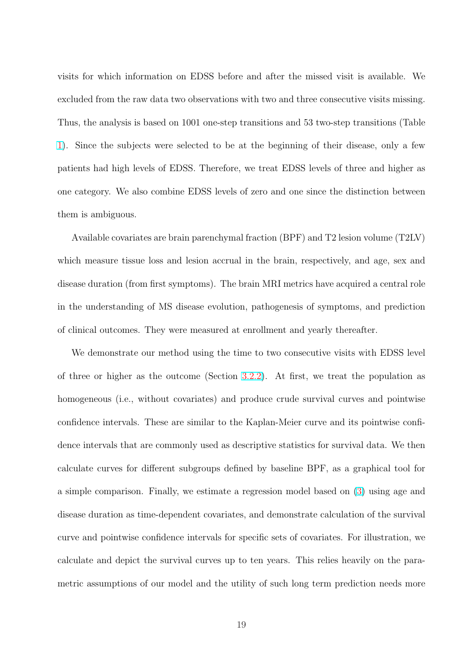visits for which information on EDSS before and after the missed visit is available. We excluded from the raw data two observations with two and three consecutive visits missing. Thus, the analysis is based on 1001 one-step transitions and 53 two-step transitions (Table 1). Since the subjects were selected to be at the beginning of their disease, only a few patients had high levels of EDSS. Therefore, we treat EDSS levels of three and higher as [on](#page-39-0)e category. We also combine EDSS levels of zero and one since the distinction between them is ambiguous.

Available covariates are brain parenchymal fraction (BPF) and T2 lesion volume (T2LV) which measure tissue loss and lesion accrual in the brain, respectively, and age, sex and disease duration (from first symptoms). The brain MRI metrics have acquired a central role in the understanding of MS disease evolution, pathogenesis of symptoms, and prediction of clinical outcomes. They were measured at enrollment and yearly thereafter.

We demonstrate our method using the time to two consecutive visits with EDSS level of three or higher as the outcome (Section 3.2.2). At first, we treat the population as homogeneous (i.e., without covariates) and produce crude survival curves and pointwise confidence intervals. These are similar to th[e Kap](#page-15-0)lan-Meier curve and its pointwise confidence intervals that are commonly used as descriptive statistics for survival data. We then calculate curves for different subgroups defined by baseline BPF, as a graphical tool for a simple comparison. Finally, we estimate a regression model based on (3) using age and disease duration as time-dependent covariates, and demonstrate calculation of the survival curve and pointwise confidence intervals for specific sets of covariates. F[or](#page-8-0) illustration, we calculate and depict the survival curves up to ten years. This relies heavily on the parametric assumptions of our model and the utility of such long term prediction needs more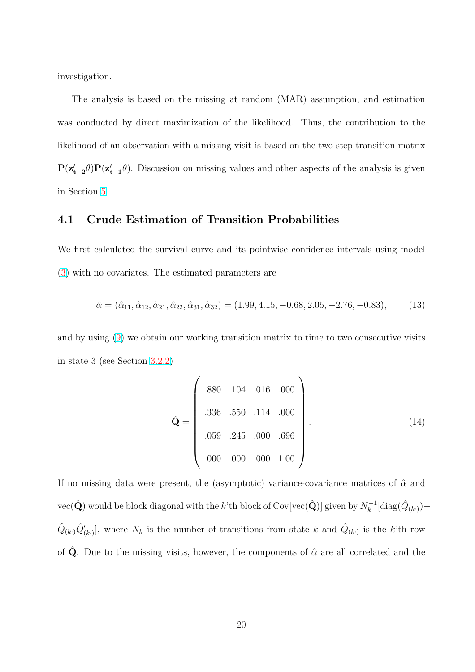<span id="page-21-0"></span>investigation.

The analysis is based on the missing at random (MAR) assumption, and estimation was conducted by direct maximization of the likelihood. Thus, the contribution to the likelihood of an observation with a missing visit is based on the two-step transition matrix  $P(z'_{t-2}\theta)P(z'_{t-1}\theta)$ . Discussion on missing values and other aspects of the analysis is given in Section 5

# 4.1 Crude Estimation of Transition Probabilities

We first calculated the survival curve and its pointwise confidence intervals using model (3) with no covariates. The estimated parameters are

$$
\hat{\alpha} = (\hat{\alpha}_{11}, \hat{\alpha}_{12}, \hat{\alpha}_{21}, \hat{\alpha}_{22}, \hat{\alpha}_{31}, \hat{\alpha}_{32}) = (1.99, 4.15, -0.68, 2.05, -2.76, -0.83), \tag{13}
$$

and by using  $(9)$  we obtain our working transition matrix to time to two consecutive visits in state 3 (see Section 3.2.2)

$$
\hat{Q} = \begin{pmatrix}\n.880 & .104 & .016 & .000 \\
.336 & .550 & .114 & .000 \\
.059 & .245 & .000 & .696 \\
.000 & .000 & .000 & 1.00\n\end{pmatrix}.
$$
\n(14)

If no missing data were present, the (asymptotic) variance-covariance matrices of  $\hat{\alpha}$  and  $\text{vec}(\hat{\mathbf{Q}})$  would be block diagonal with the  $k$ 'th block of Cov[vec( $\hat{\mathbf{Q}}$ )] given by  $N_k^{-1}$  $\hat{k}^{-1}[\text{diag}(\hat{Q}_{(k\cdot)}) \hat{Q}_{(k)}\hat{Q}'_{(k)}$ , where  $N_k$  is the number of transitions from state k and  $\hat{Q}_{(k)}$  is the k'th row of  $\hat{Q}$ . Due to the missing visits, however, the components of  $\hat{\alpha}$  are all correlated and the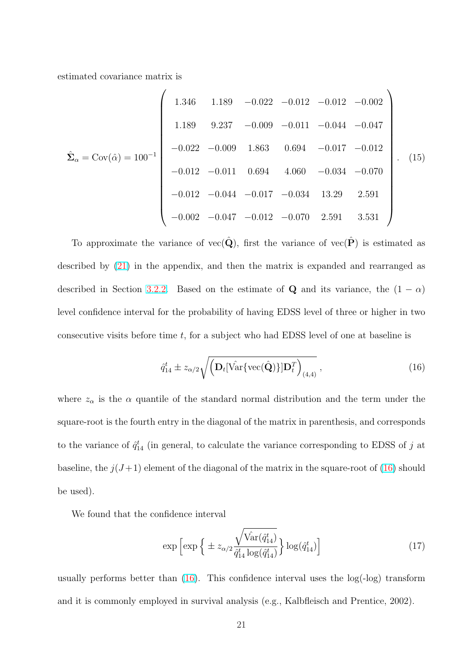<span id="page-22-0"></span>estimated covariance matrix is

 $\overline{a}$ 

$$
\hat{\Sigma}_{\alpha} = \text{Cov}(\hat{\alpha}) = 100^{-1}
$$
\n
$$
\begin{pmatrix}\n1.346 & 1.189 & -0.022 & -0.012 & -0.012 & -0.002 \\
1.189 & 9.237 & -0.009 & -0.011 & -0.044 & -0.047 \\
-0.022 & -0.009 & 1.863 & 0.694 & -0.017 & -0.012 \\
-0.012 & -0.011 & 0.694 & 4.060 & -0.034 & -0.070 \\
-0.012 & -0.044 & -0.017 & -0.034 & 13.29 & 2.591 \\
-0.002 & -0.047 & -0.012 & -0.070 & 2.591 & 3.531\n\end{pmatrix}
$$
\n(15)

To approximate the variance of vec( $\hat{Q}$ ), first the variance of vec( $\hat{P}$ ) is estimated as described by (21) in the appendix, and then the matrix is expanded and rearranged as described in Section 3.2.2. Based on the estimate of Q and its variance, the  $(1 - \alpha)$ level confiden[ce in](#page-34-0)terval for the probability of having EDSS level of three or higher in two consecutive visits bef[ore tim](#page-15-0)e  $t$ , for a subject who had EDSS level of one at baseline is

$$
\hat{q}_{14}^t \pm z_{\alpha/2} \sqrt{\left(\mathbf{D}_t[\hat{\text{Var}}\{\text{vec}(\hat{\mathbf{Q}})\}]\mathbf{D}_t^T\right)_{(4,4)}},\tag{16}
$$

 $\mathbf{r}$ 

where  $z_{\alpha}$  is the  $\alpha$  quantile of the standard normal distribution and the term under the square-root is the fourth entry in the diagonal of the matrix in parenthesis, and corresponds to the variance of  $\hat{q}_{14}^t$  (in general, to calculate the variance corresponding to EDSS of j at baseline, the  $j(J+1)$  element of the diagonal of the matrix in the square-root of (16) should be used).

We found that the confidence interval

$$
\exp\left[\exp\left\{\pm z_{\alpha/2} \frac{\sqrt{\hat{\text{Var}}(\hat{q}_{14}^t)}}{\hat{q}_{14}^t \log(\hat{q}_{14}^t)}\right\} \log(\hat{q}_{14}^t)\right]
$$
(17)

usually performs better than  $(16)$ . This confidence interval uses the  $log(-log)$  transform and it is commonly employed in survival analysis (e.g., Kalbfleisch and Prentice, 2002).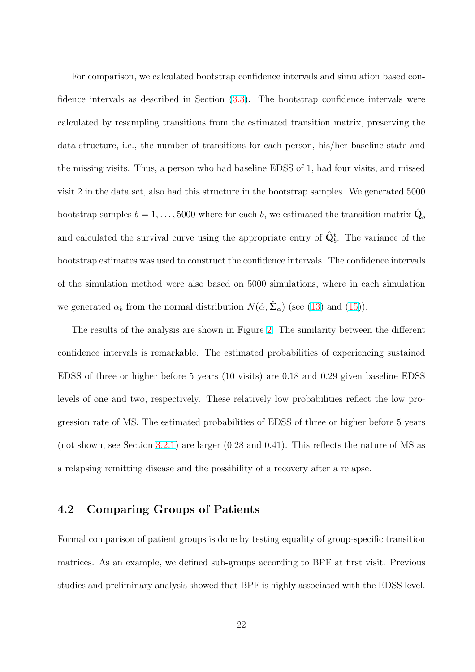For comparison, we calculated bootstrap confidence intervals and simulation based confidence intervals as described in Section (3.3). The bootstrap confidence intervals were calculated by resampling transitions from the estimated transition matrix, preserving the data structure, i.e., the number of transit[ions](#page-17-0) for each person, his/her baseline state and the missing visits. Thus, a person who had baseline EDSS of 1, had four visits, and missed visit 2 in the data set, also had this structure in the bootstrap samples. We generated 5000 bootstrap samples  $b = 1, \ldots, 5000$  where for each b, we estimated the transition matrix  $\hat{\mathbf{Q}}_b$ and calculated the survival curve using the appropriate entry of  $\hat{\mathbf{Q}}_b^t$ . The variance of the bootstrap estimates was used to construct the confidence intervals. The confidence intervals of the simulation method were also based on 5000 simulations, where in each simulation we generated  $\alpha_b$  from the normal distribution  $N(\hat{\alpha}, \hat{\Sigma}_{\alpha})$  (see (13) and (15)).

The results of the analysis are shown in Figure 2. The similarity between the different confidence intervals is remarkable. The estimated probabilit[ies](#page-21-0) of exp[erie](#page-22-0)ncing sustained EDSS of three or higher before 5 years (10 visits) [ar](#page-40-0)e 0.18 and 0.29 given baseline EDSS levels of one and two, respectively. These relatively low probabilities reflect the low progression rate of MS. The estimated probabilities of EDSS of three or higher before 5 years (not shown, see Section 3.2.1) are larger (0.28 and 0.41). This reflects the nature of MS as a relapsing remitting disease and the possibility of a recovery after a relapse.

## 4.2 Comparing Groups of Patients

Formal comparison of patient groups is done by testing equality of group-specific transition matrices. As an example, we defined sub-groups according to BPF at first visit. Previous studies and preliminary analysis showed that BPF is highly associated with the EDSS level.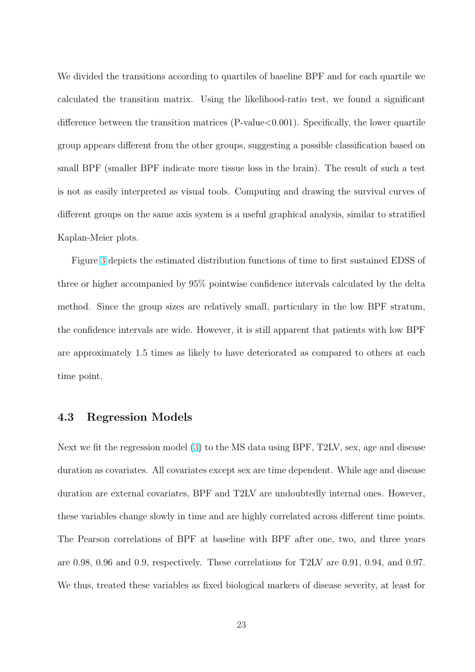<span id="page-24-0"></span>We divided the transitions according to quartiles of baseline BPF and for each quartile we calculated the transition matrix. Using the likelihood-ratio test, we found a significant difference between the transition matrices (P-value<0.001). Specifically, the lower quartile group appears different from the other groups, suggesting a possible classification based on small BPF (smaller BPF indicate more tissue loss in the brain). The result of such a test is not as easily interpreted as visual tools. Computing and drawing the survival curves of different groups on the same axis system is a useful graphical analysis, similar to stratified Kaplan-Meier plots.

Figure 3 depicts the estimated distribution functions of time to first sustained EDSS of three or higher accompanied by 95% pointwise confidence intervals calculated by the delta method. [Sin](#page-41-0)ce the group sizes are relatively small, particulary in the low BPF stratum, the confidence intervals are wide. However, it is still apparent that patients with low BPF are approximately 1.5 times as likely to have deteriorated as compared to others at each time point.

## 4.3 Regression Models

Next we fit the regression model (3) to the MS data using BPF, T2LV, sex, age and disease duration as covariates. All covariates except sex are time dependent. While age and disease duration are external covariates, [BP](#page-8-0)F and T2LV are undoubtedly internal ones. However, these variables change slowly in time and are highly correlated across different time points. The Pearson correlations of BPF at baseline with BPF after one, two, and three years are 0.98, 0.96 and 0.9, respectively. These correlations for T2LV are 0.91, 0.94, and 0.97. We thus, treated these variables as fixed biological markers of disease severity, at least for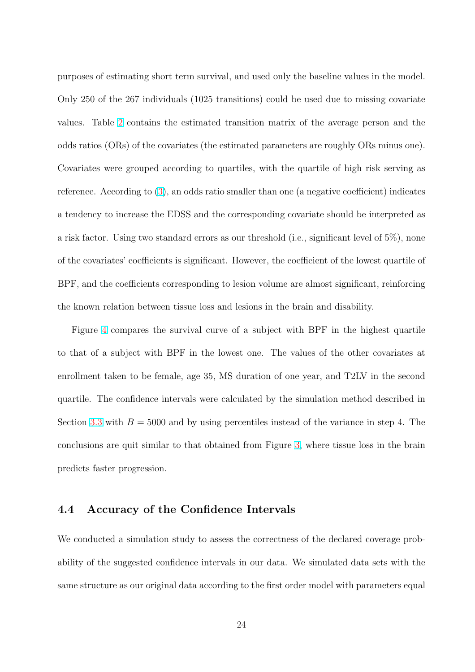<span id="page-25-0"></span>purposes of estimating short term survival, and used only the baseline values in the model. Only 250 of the 267 individuals (1025 transitions) could be used due to missing covariate values. Table 2 contains the estimated transition matrix of the average person and the odds ratios (ORs) of the covariates (the estimated parameters are roughly ORs minus one). Covariates we[re](#page-39-0) grouped according to quartiles, with the quartile of high risk serving as reference. According to  $(3)$ , an odds ratio smaller than one (a negative coefficient) indicates a tendency to increase the EDSS and the corresponding covariate should be interpreted as a risk factor. Using two [sta](#page-8-0)ndard errors as our threshold (i.e., significant level of 5%), none of the covariates' coefficients is significant. However, the coefficient of the lowest quartile of BPF, and the coefficients corresponding to lesion volume are almost significant, reinforcing the known relation between tissue loss and lesions in the brain and disability.

Figure 4 compares the survival curve of a subject with BPF in the highest quartile to that of a subject with BPF in the lowest one. The values of the other covariates at enrollment [t](#page-41-0)aken to be female, age 35, MS duration of one year, and T2LV in the second quartile. The confidence intervals were calculated by the simulation method described in Section 3.3 with  $B = 5000$  and by using percentiles instead of the variance in step 4. The conclusions are quit similar to that obtained from Figure 3, where tissue loss in the brain predict[s fas](#page-17-0)ter progression.

# 4.4 Accuracy of the Confidence Intervals

We conducted a simulation study to assess the correctness of the declared coverage probability of the suggested confidence intervals in our data. We simulated data sets with the same structure as our original data according to the first order model with parameters equal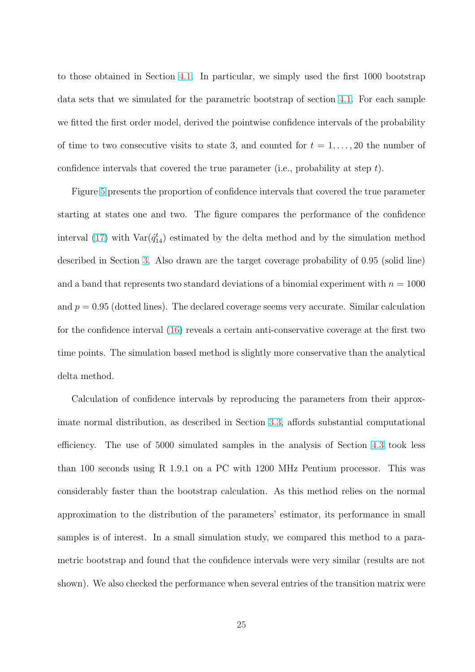to those obtained in Section 4.1. In particular, we simply used the first 1000 bootstrap data sets that we simulated for the parametric bootstrap of section 4.1. For each sample we fitted the first order mode[l, de](#page-21-0)rived the pointwise confidence intervals of the probability of time to two consecutive visits to state 3, and counted for  $t = 1, \ldots, 20$  the number of confidence intervals that covered the true parameter (i.e., probability at step  $t$ ).

Figure 5 presents the proportion of confidence intervals that covered the true parameter starting at states one and two. The figure compares the performance of the confidence interval ([17\)](#page-42-0) with  $\text{Var}(\hat{q}_{14}^t)$  estimated by the delta method and by the simulation method described in Section 3. Also drawn are the target coverage probability of 0.95 (solid line) and a ba[nd t](#page-22-0)hat represents two standard deviations of a binomial experiment with  $n = 1000$ and  $p = 0.95$  (dotted [li](#page-12-0)nes). The declared coverage seems very accurate. Similar calculation for the confidence interval  $(16)$  reveals a certain anti-conservative coverage at the first two time points. The simulation based method is slightly more conservative than the analytical delta method.

Calculation of confidence intervals by reproducing the parameters from their approximate normal distribution, as described in Section 3.3, affords substantial computational efficiency. The use of 5000 simulated samples in the analysis of Section 4.3 took less than 100 seconds using R 1.9.1 on a PC with 12[00 M](#page-17-0)Hz Pentium processor. This was considerably faster than the bootstrap calculation. As this method relies o[n th](#page-24-0)e normal approximation to the distribution of the parameters' estimator, its performance in small samples is of interest. In a small simulation study, we compared this method to a parametric bootstrap and found that the confidence intervals were very similar (results are not shown). We also checked the performance when several entries of the transition matrix were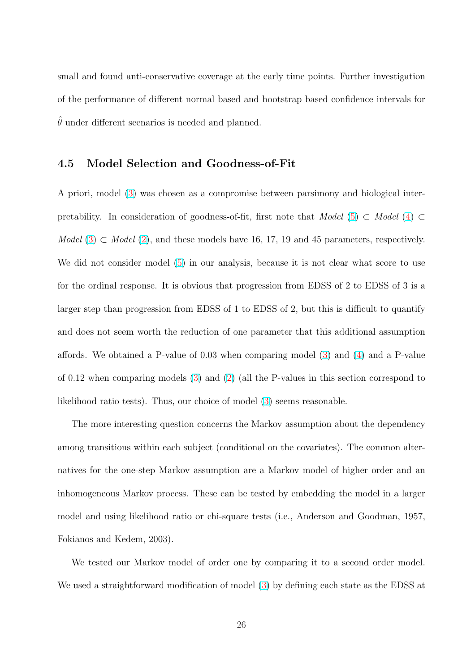small and found anti-conservative coverage at the early time points. Further investigation of the performance of different normal based and bootstrap based confidence intervals for  $\hat{\theta}$  under different scenarios is needed and planned.

## 4.5 Model Selection and Goodness-of-Fit

A priori, model (3) was chosen as a compromise between parsimony and biological interpretability. In consideration of goodness-of-fit, first note that Model (5) ⊂ Model (4) ⊂ Mo[del](#page-8-0) (3)  $\subset$  Model (2), and these models have 16, 17, 19 and 45 parameters, respectively. We did not consider model (5) in our analysis, because it is not clear [w](#page-9-0)hat sc[o](#page-9-0)re to use for the [or](#page-8-0)dinal resp[ons](#page-8-0)e. It is obvious that progression from EDSS of 2 to EDSS of 3 is a larger step than progression [fro](#page-9-0)m EDSS of 1 to EDSS of 2, but this is difficult to quantify and does not seem worth the reduction of one parameter that this additional assumption affords. We obtained a P-value of 0.03 when comparing model (3) and (4) and a P-value of 0.12 when comparing models (3) and (2) (all the P-values in this section correspond to likelihood ratio tests). Thus, our choice of model (3) seems reas[on](#page-8-0)able.

The more interesting questio[n c](#page-8-0)oncer[ns](#page-8-0) the Markov assumption about the dependency among transitions within each subject (conditiona[l o](#page-8-0)n the covariates). The common alternatives for the one-step Markov assumption are a Markov model of higher order and an inhomogeneous Markov process. These can be tested by embedding the model in a larger model and using likelihood ratio or chi-square tests (i.e., Anderson and Goodman, 1957, Fokianos and Kedem, 2003).

We tested our Markov model of order one by comparing it to a second order model. We used a straightforward modification of model (3) by defining each state as the EDSS at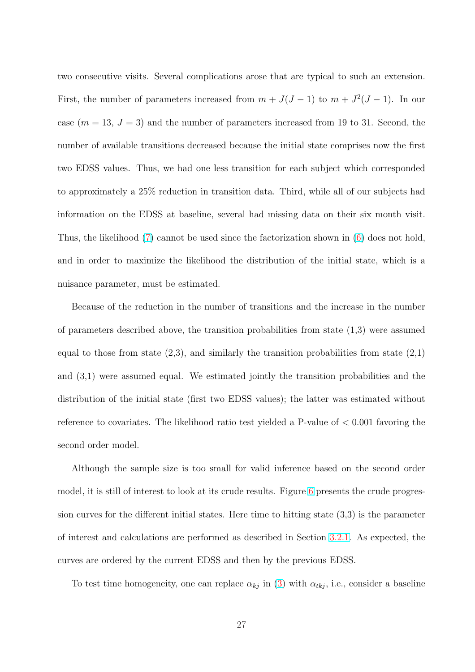two consecutive visits. Several complications arose that are typical to such an extension. First, the number of parameters increased from  $m + J(J-1)$  to  $m + J^2(J-1)$ . In our case  $(m = 13, J = 3)$  and the number of parameters increased from 19 to 31. Second, the number of available transitions decreased because the initial state comprises now the first two EDSS values. Thus, we had one less transition for each subject which corresponded to approximately a 25% reduction in transition data. Third, while all of our subjects had information on the EDSS at baseline, several had missing data on their six month visit. Thus, the likelihood (7) cannot be used since the factorization shown in (6) does not hold, and in order to maximize the likelihood the distribution of the initial state, which is a nuisance parameter, [mu](#page-10-0)st be estimated.

Because of the reduction in the number of transitions and the increase in the number of parameters described above, the transition probabilities from state  $(1,3)$  were assumed equal to those from state  $(2,3)$ , and similarly the transition probabilities from state  $(2,1)$ and (3,1) were assumed equal. We estimated jointly the transition probabilities and the distribution of the initial state (first two EDSS values); the latter was estimated without reference to covariates. The likelihood ratio test yielded a P-value of  $< 0.001$  favoring the second order model.

Although the sample size is too small for valid inference based on the second order model, it is still of interest to look at its crude results. Figure 6 presents the crude progression curves for the different initial states. Here time to hitting state (3,3) is the parameter of interest and calculations are performed as described in Se[ct](#page-42-0)ion 3.2.1. As expected, the curves are ordered by the current EDSS and then by the previous EDSS.

To test time homogeneity, one can replace  $\alpha_{kj}$  in (3) with  $\alpha_{tkj}$ , [i.e., c](#page-15-0)onsider a baseline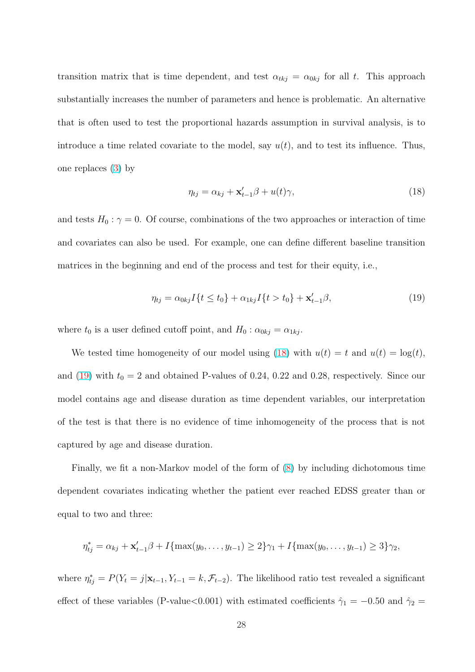transition matrix that is time dependent, and test  $\alpha_{tkj} = \alpha_{0kj}$  for all t. This approach substantially increases the number of parameters and hence is problematic. An alternative that is often used to test the proportional hazards assumption in survival analysis, is to introduce a time related covariate to the model, say  $u(t)$ , and to test its influence. Thus, one replaces (3) by

$$
\eta_{tj} = \alpha_{kj} + \mathbf{x}'_{t-1}\beta + u(t)\gamma,
$$
\n(18)

and tests  $H_0: \gamma = 0$ . Of course, combinations of the two approaches or interaction of time and covariates can also be used. For example, one can define different baseline transition matrices in the beginning and end of the process and test for their equity, i.e.,

$$
\eta_{tj} = \alpha_{0kj} I\{t \le t_0\} + \alpha_{1kj} I\{t > t_0\} + \mathbf{x}'_{t-1}\beta,
$$
\n(19)

where  $t_0$  is a user defined cutoff point, and  $H_0$  :  $\alpha_{0kj} = \alpha_{1kj}$ .

We tested time homogeneity of our model using (18) with  $u(t) = t$  and  $u(t) = \log(t)$ , and (19) with  $t_0 = 2$  and obtained P-values of 0.24, 0.22 and 0.28, respectively. Since our model contains age and disease duration as time dependent variables, our interpretation of the test is that there is no evidence of time inhomogeneity of the process that is not captured by age and disease duration.

Finally, we fit a non-Markov model of the form of (8) by including dichotomous time dependent covariates indicating whether the patient ever reached EDSS greater than or equal to two and three:

$$
\eta_{tj}^* = \alpha_{kj} + \mathbf{x}'_{t-1}\beta + I\{\max(y_0, \dots, y_{t-1}) \ge 2\}\gamma_1 + I\{\max(y_0, \dots, y_{t-1}) \ge 3\}\gamma_2,
$$

where  $\eta_{tj}^* = P(Y_t = j | \mathbf{x}_{t-1}, Y_{t-1} = k, \mathcal{F}_{t-2})$ . The likelihood ratio test revealed a significant effect of these variables (P-value<0.001) with estimated coefficients  $\hat{\gamma}_1 = -0.50$  and  $\hat{\gamma}_2 =$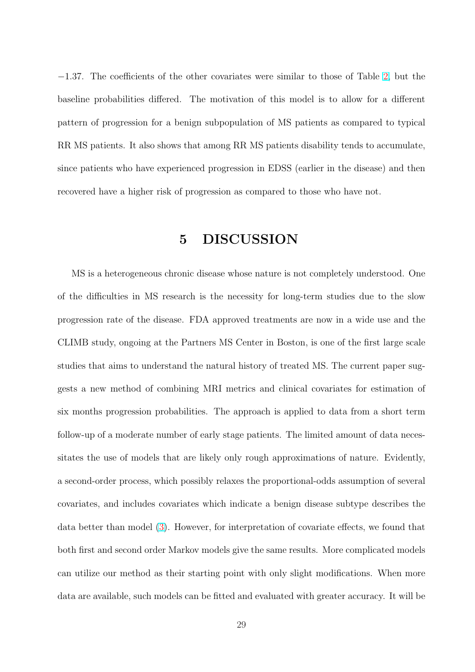−1.37. The coefficients of the other covariates were similar to those of Table 2, but the baseline probabilities differed. The motivation of this model is to allow for a different pattern of progression for a benign subpopulation of MS patients as compared [t](#page-39-0)o typical RR MS patients. It also shows that among RR MS patients disability tends to accumulate, since patients who have experienced progression in EDSS (earlier in the disease) and then recovered have a higher risk of progression as compared to those who have not.

# 5 DISCUSSION

MS is a heterogeneous chronic disease whose nature is not completely understood. One of the difficulties in MS research is the necessity for long-term studies due to the slow progression rate of the disease. FDA approved treatments are now in a wide use and the CLIMB study, ongoing at the Partners MS Center in Boston, is one of the first large scale studies that aims to understand the natural history of treated MS. The current paper suggests a new method of combining MRI metrics and clinical covariates for estimation of six months progression probabilities. The approach is applied to data from a short term follow-up of a moderate number of early stage patients. The limited amount of data necessitates the use of models that are likely only rough approximations of nature. Evidently, a second-order process, which possibly relaxes the proportional-odds assumption of several covariates, and includes covariates which indicate a benign disease subtype describes the data better than model (3). However, for interpretation of covariate effects, we found that both first and second order Markov models give the same results. More complicated models can utilize our method [as](#page-8-0) their starting point with only slight modifications. When more data are available, such models can be fitted and evaluated with greater accuracy. It will be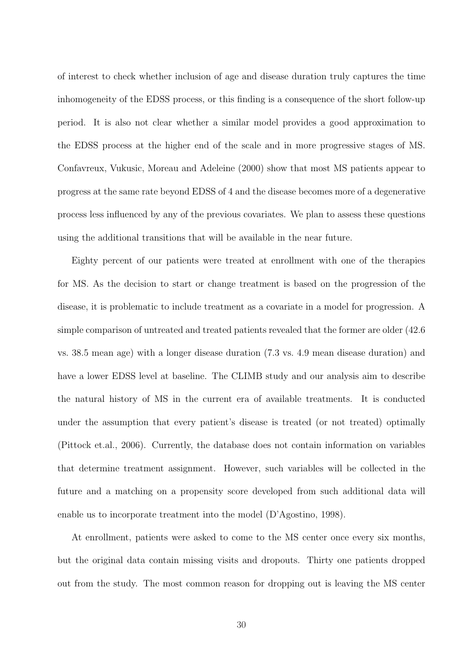of interest to check whether inclusion of age and disease duration truly captures the time inhomogeneity of the EDSS process, or this finding is a consequence of the short follow-up period. It is also not clear whether a similar model provides a good approximation to the EDSS process at the higher end of the scale and in more progressive stages of MS. Confavreux, Vukusic, Moreau and Adeleine (2000) show that most MS patients appear to progress at the same rate beyond EDSS of 4 and the disease becomes more of a degenerative process less influenced by any of the previous covariates. We plan to assess these questions using the additional transitions that will be available in the near future.

Eighty percent of our patients were treated at enrollment with one of the therapies for MS. As the decision to start or change treatment is based on the progression of the disease, it is problematic to include treatment as a covariate in a model for progression. A simple comparison of untreated and treated patients revealed that the former are older (42.6 vs. 38.5 mean age) with a longer disease duration (7.3 vs. 4.9 mean disease duration) and have a lower EDSS level at baseline. The CLIMB study and our analysis aim to describe the natural history of MS in the current era of available treatments. It is conducted under the assumption that every patient's disease is treated (or not treated) optimally (Pittock et.al., 2006). Currently, the database does not contain information on variables that determine treatment assignment. However, such variables will be collected in the future and a matching on a propensity score developed from such additional data will enable us to incorporate treatment into the model (D'Agostino, 1998).

At enrollment, patients were asked to come to the MS center once every six months, but the original data contain missing visits and dropouts. Thirty one patients dropped out from the study. The most common reason for dropping out is leaving the MS center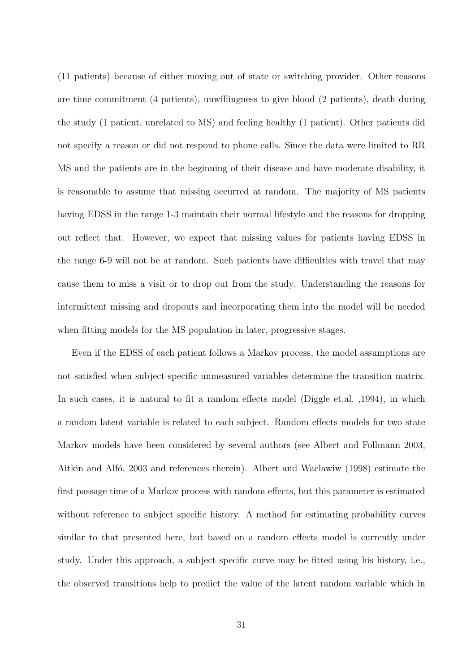(11 patients) because of either moving out of state or switching provider. Other reasons are time commitment (4 patients), unwillingness to give blood (2 patients), death during the study (1 patient, unrelated to MS) and feeling healthy (1 patient). Other patients did not specify a reason or did not respond to phone calls. Since the data were limited to RR MS and the patients are in the beginning of their disease and have moderate disability, it is reasonable to assume that missing occurred at random. The majority of MS patients having EDSS in the range 1-3 maintain their normal lifestyle and the reasons for dropping out reflect that. However, we expect that missing values for patients having EDSS in the range 6-9 will not be at random. Such patients have difficulties with travel that may cause them to miss a visit or to drop out from the study. Understanding the reasons for intermittent missing and dropouts and incorporating them into the model will be needed when fitting models for the MS population in later, progressive stages.

Even if the EDSS of each patient follows a Markov process, the model assumptions are not satisfied when subject-specific unmeasured variables determine the transition matrix. In such cases, it is natural to fit a random effects model (Diggle et.al. ,1994), in which a random latent variable is related to each subject. Random effects models for two state Markov models have been considered by several authors (see Albert and Follmann 2003, Aitkin and Alfó, 2003 and references therein). Albert and Waclawiw (1998) estimate the first passage time of a Markov process with random effects, but this parameter is estimated without reference to subject specific history. A method for estimating probability curves similar to that presented here, but based on a random effects model is currently under study. Under this approach, a subject specific curve may be fitted using his history, i.e., the observed transitions help to predict the value of the latent random variable which in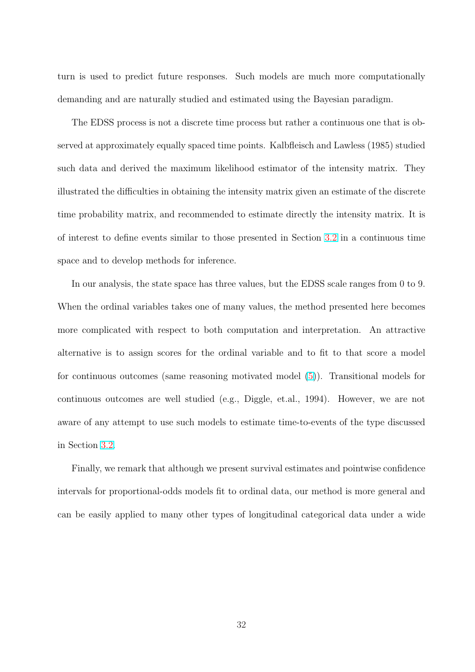turn is used to predict future responses. Such models are much more computationally demanding and are naturally studied and estimated using the Bayesian paradigm.

The EDSS process is not a discrete time process but rather a continuous one that is observed at approximately equally spaced time points. Kalbfleisch and Lawless (1985) studied such data and derived the maximum likelihood estimator of the intensity matrix. They illustrated the difficulties in obtaining the intensity matrix given an estimate of the discrete time probability matrix, and recommended to estimate directly the intensity matrix. It is of interest to define events similar to those presented in Section 3.2 in a continuous time space and to develop methods for inference.

In our analysis, the state space has three values, but the EDS[S sca](#page-14-0)le ranges from 0 to 9. When the ordinal variables takes one of many values, the method presented here becomes more complicated with respect to both computation and interpretation. An attractive alternative is to assign scores for the ordinal variable and to fit to that score a model for continuous outcomes (same reasoning motivated model (5)). Transitional models for continuous outcomes are well studied (e.g., Diggle, et.al., 1994). However, we are not aware of any attempt to use such models to estimate time-t[o-e](#page-9-0)vents of the type discussed in Section 3.2.

Finally, we remark that although we present survival estimates and pointwise confidence intervals f[or p](#page-14-0)roportional-odds models fit to ordinal data, our method is more general and can be easily applied to many other types of longitudinal categorical data under a wide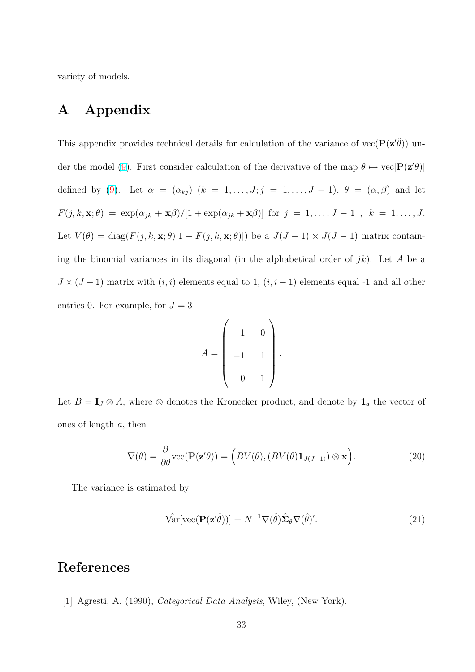<span id="page-34-0"></span>variety of models.

# A Appendix

This appendix provides technical details for calculation of the variance of  $vec(\mathbf{P}(\mathbf{z}'\hat{\theta}))$  under the model (9). First consider calculation of the derivative of the map  $\theta \mapsto \text{vec}[\mathbf{P}(\mathbf{z}'\theta)]$ defined by (9). Let  $\alpha = (\alpha_{kj})$   $(k = 1, \ldots, J; j = 1, \ldots, J - 1)$ ,  $\theta = (\alpha, \beta)$  and let  $F(j, k, \mathbf{x}; \theta) = \exp(\alpha_{jk} + \mathbf{x}\beta)/[1 + \exp(\alpha_{jk} + \mathbf{x}\beta)]$  for  $j = 1, \ldots, J - 1$ ,  $k = 1, \ldots, J$ . Let  $V(\theta) = \text{diag}(F(j, k, \mathbf{x}; \theta) [1 - F(j, k, \mathbf{x}; \theta)])$  be a  $J(J-1) \times J(J-1)$  matrix containing the binomial variances in its diagonal (in the alphabetical order of  $jk$ ). Let A be a  $J \times (J-1)$  matrix with  $(i, i)$  elements equal to 1,  $(i, i-1)$  elements equal -1 and all other entries 0. For example, for  $J = 3$ 

$$
A = \begin{pmatrix} 1 & 0 \\ -1 & 1 \\ 0 & -1 \end{pmatrix}.
$$

Let  $B = I_J \otimes A$ , where  $\otimes$  denotes the Kronecker product, and denote by  $I_a$  the vector of ones of length a, then

$$
\nabla(\theta) = \frac{\partial}{\partial \theta} \text{vec}(\mathbf{P}(\mathbf{z}'\theta)) = (BV(\theta), (BV(\theta)\mathbf{1}_{J(J-1)}) \otimes \mathbf{x}).
$$
\n(20)

The variance is estimated by

$$
\hat{\text{Var}}[\text{vec}(\mathbf{P}(\mathbf{z}'\hat{\theta}))] = N^{-1}\nabla(\hat{\theta})\hat{\boldsymbol{\Sigma}}_{\theta}\nabla(\hat{\theta})'.\tag{21}
$$

# References

[1] Agresti, A. (1990), Categorical Data Analysis, Wiley, (New York).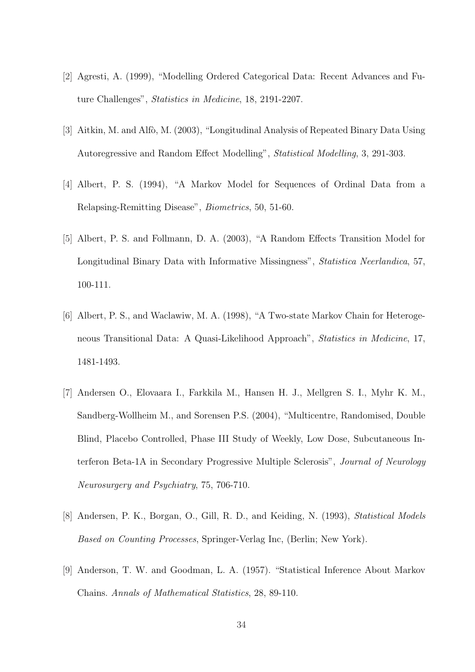- [2] Agresti, A. (1999), "Modelling Ordered Categorical Data: Recent Advances and Future Challenges", Statistics in Medicine, 18, 2191-2207.
- [3] Aitkin, M. and Alfò, M. (2003), "Longitudinal Analysis of Repeated Binary Data Using Autoregressive and Random Effect Modelling", Statistical Modelling, 3, 291-303.
- [4] Albert, P. S. (1994), "A Markov Model for Sequences of Ordinal Data from a Relapsing-Remitting Disease", Biometrics, 50, 51-60.
- [5] Albert, P. S. and Follmann, D. A. (2003), "A Random Effects Transition Model for Longitudinal Binary Data with Informative Missingness", Statistica Neerlandica, 57, 100-111.
- [6] Albert, P. S., and Waclawiw, M. A. (1998), "A Two-state Markov Chain for Heterogeneous Transitional Data: A Quasi-Likelihood Approach", Statistics in Medicine, 17, 1481-1493.
- [7] Andersen O., Elovaara I., Farkkila M., Hansen H. J., Mellgren S. I., Myhr K. M., Sandberg-Wollheim M., and Sorensen P.S. (2004), "Multicentre, Randomised, Double Blind, Placebo Controlled, Phase III Study of Weekly, Low Dose, Subcutaneous Interferon Beta-1A in Secondary Progressive Multiple Sclerosis", Journal of Neurology Neurosurgery and Psychiatry, 75, 706-710.
- [8] Andersen, P. K., Borgan, O., Gill, R. D., and Keiding, N. (1993), Statistical Models Based on Counting Processes, Springer-Verlag Inc, (Berlin; New York).
- [9] Anderson, T. W. and Goodman, L. A. (1957). "Statistical Inference About Markov Chains. Annals of Mathematical Statistics, 28, 89-110.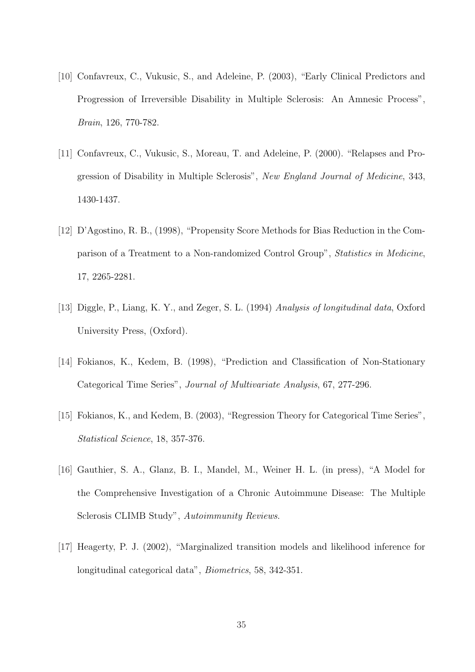- [10] Confavreux, C., Vukusic, S., and Adeleine, P. (2003), "Early Clinical Predictors and Progression of Irreversible Disability in Multiple Sclerosis: An Amnesic Process", Brain, 126, 770-782.
- [11] Confavreux, C., Vukusic, S., Moreau, T. and Adeleine, P. (2000). "Relapses and Progression of Disability in Multiple Sclerosis", New England Journal of Medicine, 343, 1430-1437.
- [12] D'Agostino, R. B., (1998), "Propensity Score Methods for Bias Reduction in the Comparison of a Treatment to a Non-randomized Control Group", Statistics in Medicine, 17, 2265-2281.
- [13] Diggle, P., Liang, K. Y., and Zeger, S. L. (1994) Analysis of longitudinal data, Oxford University Press, (Oxford).
- [14] Fokianos, K., Kedem, B. (1998), "Prediction and Classification of Non-Stationary Categorical Time Series", Journal of Multivariate Analysis, 67, 277-296.
- [15] Fokianos, K., and Kedem, B. (2003), "Regression Theory for Categorical Time Series", Statistical Science, 18, 357-376.
- [16] Gauthier, S. A., Glanz, B. I., Mandel, M., Weiner H. L. (in press), "A Model for the Comprehensive Investigation of a Chronic Autoimmune Disease: The Multiple Sclerosis CLIMB Study", Autoimmunity Reviews.
- [17] Heagerty, P. J. (2002), "Marginalized transition models and likelihood inference for longitudinal categorical data", Biometrics, 58, 342-351.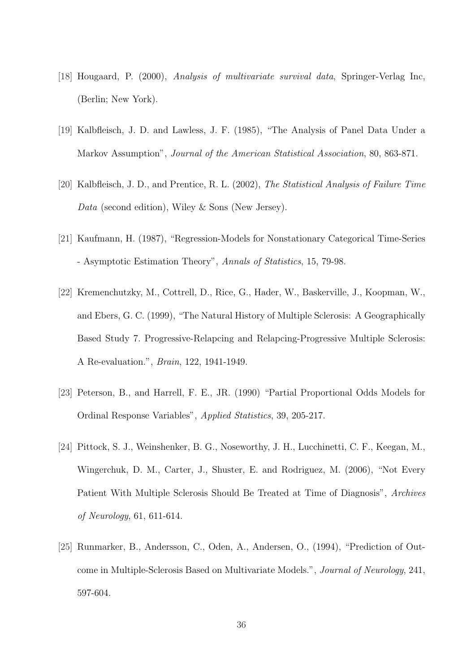- [18] Hougaard, P. (2000), Analysis of multivariate survival data, Springer-Verlag Inc, (Berlin; New York).
- [19] Kalbfleisch, J. D. and Lawless, J. F. (1985), "The Analysis of Panel Data Under a Markov Assumption", Journal of the American Statistical Association, 80, 863-871.
- [20] Kalbfleisch, J. D., and Prentice, R. L. (2002), The Statistical Analysis of Failure Time Data (second edition), Wiley & Sons (New Jersey).
- [21] Kaufmann, H. (1987), "Regression-Models for Nonstationary Categorical Time-Series - Asymptotic Estimation Theory", Annals of Statistics, 15, 79-98.
- [22] Kremenchutzky, M., Cottrell, D., Rice, G., Hader, W., Baskerville, J., Koopman, W., and Ebers, G. C. (1999), "The Natural History of Multiple Sclerosis: A Geographically Based Study 7. Progressive-Relapcing and Relapcing-Progressive Multiple Sclerosis: A Re-evaluation.", Brain, 122, 1941-1949.
- [23] Peterson, B., and Harrell, F. E., JR. (1990) "Partial Proportional Odds Models for Ordinal Response Variables", Applied Statistics, 39, 205-217.
- [24] Pittock, S. J., Weinshenker, B. G., Noseworthy, J. H., Lucchinetti, C. F., Keegan, M., Wingerchuk, D. M., Carter, J., Shuster, E. and Rodriguez, M. (2006), "Not Every Patient With Multiple Sclerosis Should Be Treated at Time of Diagnosis", Archives of Neurology, 61, 611-614.
- [25] Runmarker, B., Andersson, C., Oden, A., Andersen, O., (1994), "Prediction of Outcome in Multiple-Sclerosis Based on Multivariate Models.", Journal of Neurology, 241, 597-604.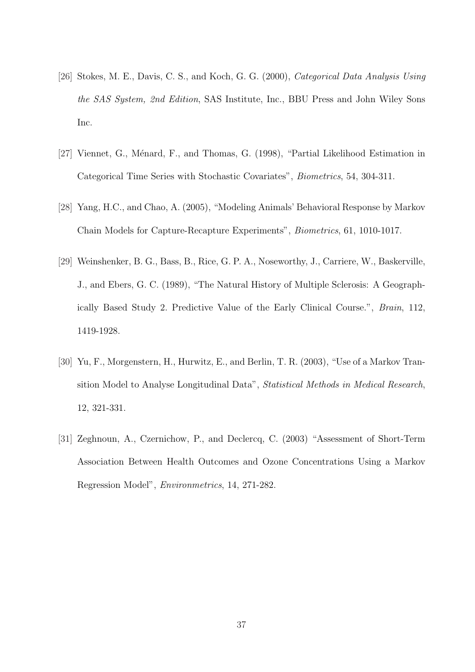- [26] Stokes, M. E., Davis, C. S., and Koch, G. G. (2000), Categorical Data Analysis Using the SAS System, 2nd Edition, SAS Institute, Inc., BBU Press and John Wiley Sons Inc.
- [27] Viennet, G., Ménard, F., and Thomas, G. (1998), "Partial Likelihood Estimation in Categorical Time Series with Stochastic Covariates", Biometrics, 54, 304-311.
- [28] Yang, H.C., and Chao, A. (2005), "Modeling Animals' Behavioral Response by Markov Chain Models for Capture-Recapture Experiments", Biometrics, 61, 1010-1017.
- [29] Weinshenker, B. G., Bass, B., Rice, G. P. A., Noseworthy, J., Carriere, W., Baskerville, J., and Ebers, G. C. (1989), "The Natural History of Multiple Sclerosis: A Geographically Based Study 2. Predictive Value of the Early Clinical Course.", Brain, 112, 1419-1928.
- [30] Yu, F., Morgenstern, H., Hurwitz, E., and Berlin, T. R. (2003), "Use of a Markov Transition Model to Analyse Longitudinal Data", Statistical Methods in Medical Research, 12, 321-331.
- [31] Zeghnoun, A., Czernichow, P., and Declercq, C. (2003) "Assessment of Short-Term Association Between Health Outcomes and Ozone Concentrations Using a Markov Regression Model", Environmetrics, 14, 271-282.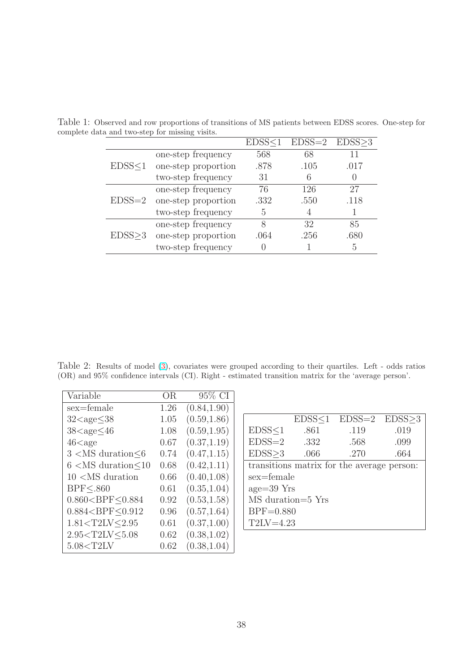|               |                     | EDSS < 1 | $EDSS=2$ $EDSS \geq 3$ |      |
|---------------|---------------------|----------|------------------------|------|
| EDSS < 1      | one-step frequency  | 568      | 68                     |      |
|               | one-step proportion | .878     | .105                   | .017 |
|               | two-step frequency  | 31       |                        |      |
| $EDSS = 2$    | one-step frequency  | 76       | 126                    | 27   |
|               | one-step proportion | .332     | .550                   | .118 |
|               | two-step frequency  | 5        |                        |      |
| $EDSS \geq 3$ | one-step frequency  | 8        | 32                     | 85   |
|               | one-step proportion | .064     | .256                   | .680 |
|               | two-step frequency  |          |                        | 5    |

<span id="page-39-0"></span>Table 1: Observed and row proportions of transitions of MS patients between EDSS scores. One-step for complete data and two-step for missing visits.

Table 2: Results of model (3), covariates were grouped according to their quartiles. Left - odds ratios (OR) and 95% confidence intervals (CI). Right - estimated transition matrix for the 'average person'.

| Variable                                                               | OR.  | 95% CI       |
|------------------------------------------------------------------------|------|--------------|
| sex=female                                                             | 1.26 | (0.84, 1.90) |
| $32 <$ age $\leq 38$                                                   | 1.05 | (0.59, 1.86) |
| $38 <$ age $<$ 46                                                      | 1.08 | (0.59, 1.95) |
| $46$ <age< td=""><td>0.67</td><td>(0.37, 1.19)</td></age<>             | 0.67 | (0.37, 1.19) |
| $3 < MS$ duration $\leq 6$                                             | 0.74 | (0.47, 1.15) |
| $6 < MS$ duration $< 10$                                               | 0.68 | (0.42, 1.11) |
| $10 < MS$ duration                                                     | 0.66 | (0.40, 1.08) |
| <b>BPF&lt;.860</b>                                                     | 0.61 | (0.35, 1.04) |
| 0.860 < BPF < 0.884                                                    | 0.92 | (0.53, 1.58) |
| 0.884 < BPF < 0.912                                                    | 0.96 | (0.57, 1.64) |
| 1.81 <t2lv<2.95< td=""><td>0.61</td><td>(0.37, 1.00)</td></t2lv<2.95<> | 0.61 | (0.37, 1.00) |
| 2.95 <t2lv<5.08< td=""><td>0.62</td><td>(0.38, 1.02)</td></t2lv<5.08<> | 0.62 | (0.38, 1.02) |
| $5.08<$ T2LV                                                           | 0.62 | (0.38, 1.04) |

|                                            |      | $EDSS < 1$ $EDSS = 2$ $EDSS > 3$ |      |  |  |  |
|--------------------------------------------|------|----------------------------------|------|--|--|--|
| EDSS < 1                                   | .861 | .119                             | .019 |  |  |  |
| $EDSS = 2$                                 | .332 | .568                             | .099 |  |  |  |
| EDSS > 3                                   | .066 | .270                             | .664 |  |  |  |
| transitions matrix for the average person: |      |                                  |      |  |  |  |
| sex=female                                 |      |                                  |      |  |  |  |
| $age = 39$ Yrs                             |      |                                  |      |  |  |  |
| MS duration=5 Yrs                          |      |                                  |      |  |  |  |
| $BPF = 0.880$                              |      |                                  |      |  |  |  |
| $T2LV=4.23$                                |      |                                  |      |  |  |  |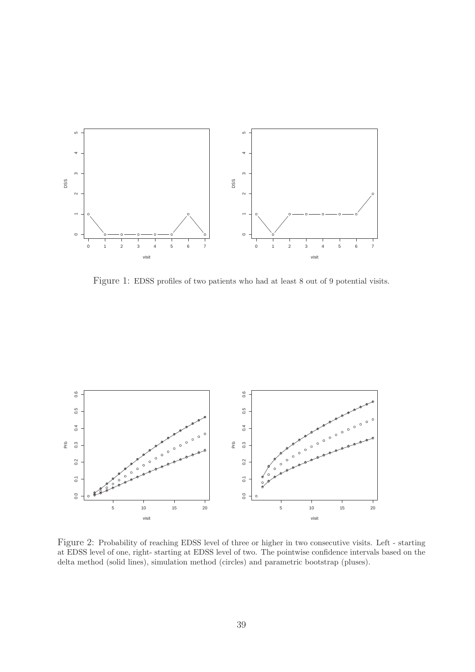<span id="page-40-0"></span>

Figure 1: EDSS profiles of two patients who had at least 8 out of 9 potential visits.



Figure 2: Probability of reaching EDSS level of three or higher in two consecutive visits. Left - starting at EDSS level of one, right- starting at EDSS level of two. The pointwise confidence intervals based on the delta method (solid lines), simulation method (circles) and parametric bootstrap (pluses).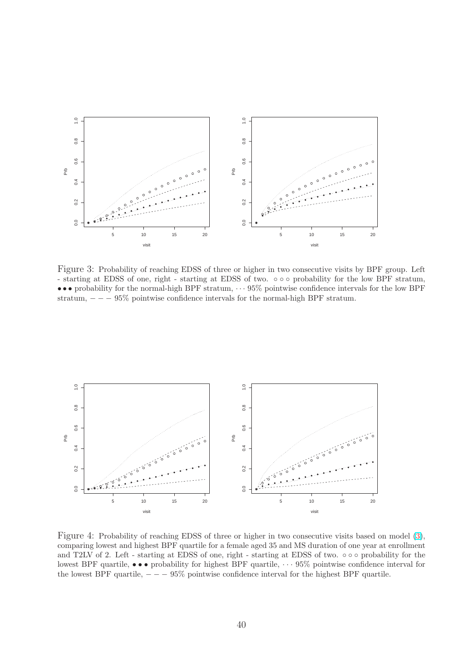<span id="page-41-0"></span>

Figure 3: Probability of reaching EDSS of three or higher in two consecutive visits by BPF group. Left - starting at EDSS of one, right - starting at EDSS of two. ◦ ◦ ◦ probability for the low BPF stratum, • • • probability for the normal-high BPF stratum, · · · 95% pointwise confidence intervals for the low BPF stratum,  $- - - 95\%$  pointwise confidence intervals for the normal-high BPF stratum.



Figure 4: Probability of reaching EDSS of three or higher in two consecutive visits based on model (3), comparing lowest and highest BPF quartile for a female aged 35 and MS duration of one year at enrollment and T2LV of 2. Left - starting at EDSS of one, right - starting at EDSS of two. ◦ ◦ ◦ probability for the lowest BPF quartile,  $\bullet \bullet \bullet$  probability for highest BPF quartile,  $\cdots$  95% pointwise confidence interval for the lowest BPF quartile,  $- - - 95\%$  pointwise confidence interval for the highest BPF quartile.